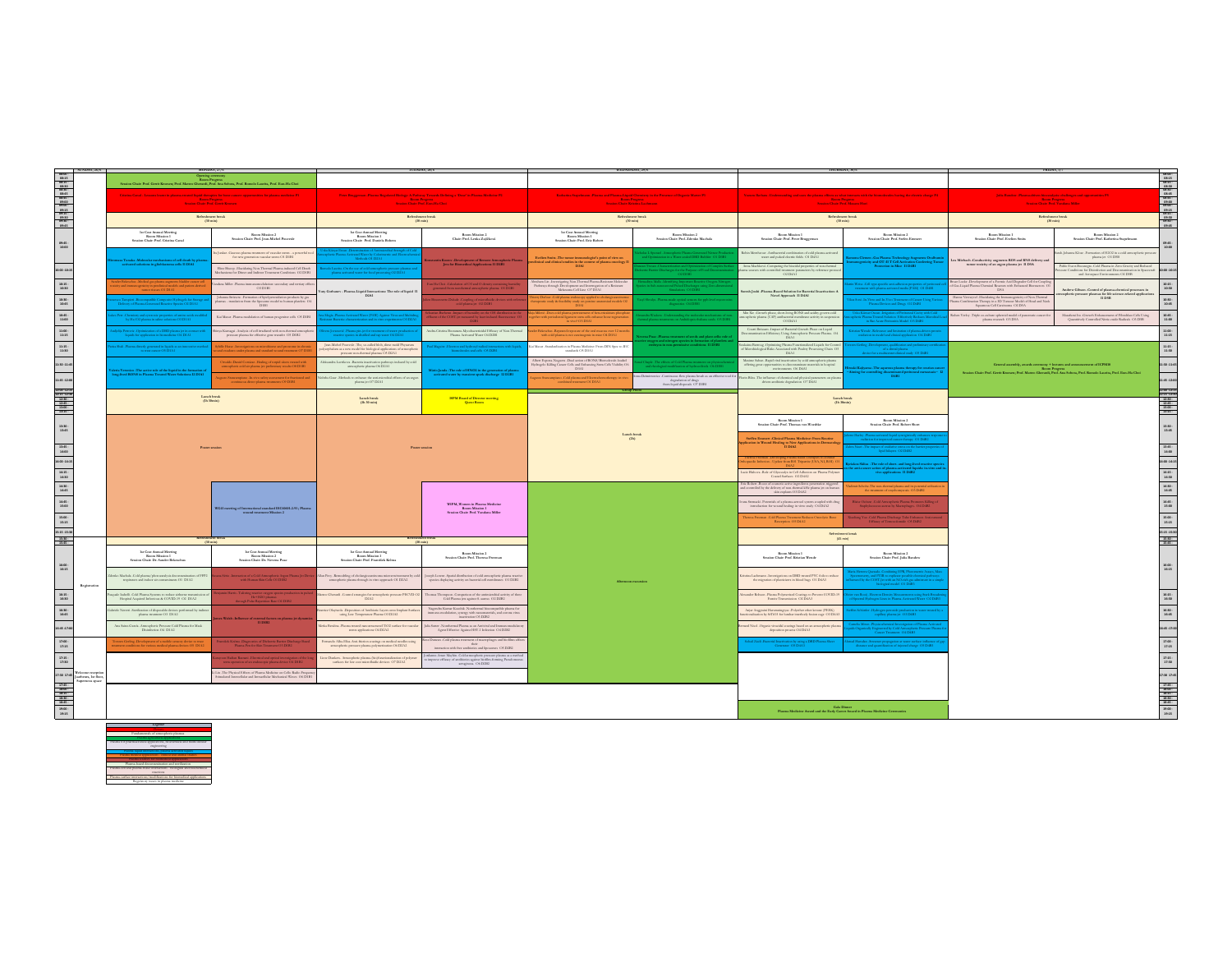|                                                                                                                                                                                                                                                                                                                                                                                                                |                                    | MONDAY, 27                                                                                                                                                 |                                                                                                                                          |                                                                                                                                                                          |                                                                                                                                                                                                                          |                                                                                                                                                                                                  |                                                                                                         |                                                                                                                                                                                                                                                                                                                                                             |                                                                                                                                                               |                                                                                                                                                                         |                                                                                                                                                                                                                                                                                                                                                                                                                                                                               |
|----------------------------------------------------------------------------------------------------------------------------------------------------------------------------------------------------------------------------------------------------------------------------------------------------------------------------------------------------------------------------------------------------------------|------------------------------------|------------------------------------------------------------------------------------------------------------------------------------------------------------|------------------------------------------------------------------------------------------------------------------------------------------|--------------------------------------------------------------------------------------------------------------------------------------------------------------------------|--------------------------------------------------------------------------------------------------------------------------------------------------------------------------------------------------------------------------|--------------------------------------------------------------------------------------------------------------------------------------------------------------------------------------------------|---------------------------------------------------------------------------------------------------------|-------------------------------------------------------------------------------------------------------------------------------------------------------------------------------------------------------------------------------------------------------------------------------------------------------------------------------------------------------------|---------------------------------------------------------------------------------------------------------------------------------------------------------------|-------------------------------------------------------------------------------------------------------------------------------------------------------------------------|-------------------------------------------------------------------------------------------------------------------------------------------------------------------------------------------------------------------------------------------------------------------------------------------------------------------------------------------------------------------------------------------------------------------------------------------------------------------------------|
| $\begin{tabular}{ c c } \hline 0 & 0100 & 031 \times 101 \times 101 \times 101 \times 101 \times 101 \times 101 \times 101 \times 101 \times 101 \times 101 \times 101 \times 101 \times 101 \times 101 \times 101 \times 101 \times 101 \times 101 \times 101 \times 101 \times 101 \times 101 \times 101 \times 101 \times 101 \times 101 \times 101 \times 101 \times 101 \times 101 \times 101 \times 101$ |                                    | Room Progress<br>sezatil, Prof. Ana Soi                                                                                                                    |                                                                                                                                          |                                                                                                                                                                          |                                                                                                                                                                                                                          |                                                                                                                                                                                                  |                                                                                                         |                                                                                                                                                                                                                                                                                                                                                             |                                                                                                                                                               | 02.03<br>02.15 02.15 02.15<br>02.15 02.05 03.15<br>02.15 03.10 03.15<br>02.15 03.10 03.15                                                                               |                                                                                                                                                                                                                                                                                                                                                                                                                                                                               |
|                                                                                                                                                                                                                                                                                                                                                                                                                |                                    | liquid therapies for bone can<br><b>Room Progress</b><br>Session Chair: Prof. Gerrit Kroosen                                                               |                                                                                                                                          | Peter Bruggerian - Plasma Regulated Biology: A Pathway Towards Defining a 'Don' in Plasma-Medicine P2<br><b>Room Progress</b><br>Session Chair: Prof. East-Ha Choi       |                                                                                                                                                                                                                          | Cebatina Supelmann -Plasma and Plasma-Liquid Chemistry in the Presence of Organic Matter P3<br><b>Boon Progress</b><br>Session Chair: Kristina Lachmann                                          |                                                                                                         | <b>Room Progress</b><br>Session Chair: Peaf. Masara Hori                                                                                                                                                                                                                                                                                                    |                                                                                                                                                               | <b>Room Progress</b><br>Specien Chair: Prof. Vandana Miller                                                                                                             |                                                                                                                                                                                                                                                                                                                                                                                                                                                                               |
| $-09:45$                                                                                                                                                                                                                                                                                                                                                                                                       |                                    |                                                                                                                                                            | Refreshment break<br>$(50 \text{ min})$                                                                                                  |                                                                                                                                                                          | Refreshment break<br>$(50 \text{ min})$                                                                                                                                                                                  |                                                                                                                                                                                                  | Refreshment break<br>$(30 \text{ min})$                                                                 |                                                                                                                                                                                                                                                                                                                                                             | Refreshment break<br>$(30 \text{ min})$                                                                                                                       |                                                                                                                                                                         | Refreshment break<br>$(30 \text{ min})$                                                                                                                                                                                                                                                                                                                                                                                                                                       |
| $08.45 -$<br>10:00                                                                                                                                                                                                                                                                                                                                                                                             |                                    | $\begin{array}{c} \text{ 1st Cart.} \textbf{Aannal Meeting} \\ \textbf{Room Mission 1} \\ \textbf{Session Chair Part.} \textbf{Crisina Canal} \end{array}$ | $\label{eq:Rosm} {\rm Room\,Mission\,2}$ Session Chair: Prof. Jean-Michel Pourcede                                                       | 1<br>et Cost Annual Meeting Room Mission 1<br>Session Chair: Peaf. Daniela Bohem                                                                                         | Room Mission 2<br>Chain Prof. Lenka Zajičková                                                                                                                                                                            | $\begin{array}{c} \text{ 1st Cast Anaual Meeting} \\ \text{Room Mission 1} \\ \text{Session Chair Prof. Eric Robert} \end{array}$                                                                | Room Mission 2<br>Session Chair: Prof. Zdenko Machala                                                   | <b>Room Mission 1</b><br>Session Chair: Prof. Peter Braggeraan                                                                                                                                                                                                                                                                                              | <b>Room Mission 2</b><br>Session Chair: Prof. Stefen Emmert                                                                                                   | <b>Room Mission 1</b><br>Session Chair: Prof. Erelien Smits                                                                                                             | <b>Room Mission 2</b><br>Session Chair: Prof. Katherina Stapelmann<br>09:45 -<br>10:00                                                                                                                                                                                                                                                                                                                                                                                        |
|                                                                                                                                                                                                                                                                                                                                                                                                                |                                    | Tanaka -Molecular mechanisms of cell death by p                                                                                                            | askar-Gascous plasma treatment of vascular spots - a powerful<br>for new generation vascular steers O1 D1B1                              |                                                                                                                                                                          | ont of Remote A                                                                                                                                                                                                          | $\begin{minipage}{0.9\linewidth} \textbf{Evelon Smiss-The number immediately for the point of view on clinical and clinical studies in the context of plasma according to BIA1.} \end{minipage}$ |                                                                                                         | Ashin Memberser - Ambacterial combination of cold plant<br>water and pulsed electric fields OI D4A1                                                                                                                                                                                                                                                         | men -Gas Plasma Technology                                                                                                                                    | a Miebach - Gonductivity augments ROS and RNS delivery an turnor toxicity of an argon plasma jet $\,$ II DSA                                                            | b-Johanna Klose-Formation of H2O2 in a cold atmospheric press<br>plasma jet O1 D5B                                                                                                                                                                                                                                                                                                                                                                                            |
| 33:00 - 10:1                                                                                                                                                                                                                                                                                                                                                                                                   |                                    | rions in glichlassena cells Il DIAI                                                                                                                        | <b>Elise Broop -Elacidating Non-Thermal Plasma-induced Cell Death</b><br>dechanisms for Direct and Indirect Treatment Conditions O2 D1B1 | ausita «On the use of cold annospheric pressure plass                                                                                                                    | Jets for Biomedical Applications II D2B1                                                                                                                                                                                 |                                                                                                                                                                                                  |                                                                                                         | Anna Machková -<br>Companing the biocidal properties of non-thermal sma sources with controlled transment parameters by suference protos<br>$\textrm{CO2}$ D4A1                                                                                                                                                                                             | Extensive Patterns Technology August<br>Protection in Mice II D4B1                                                                                            |                                                                                                                                                                         | Pablo Escor-Bocanegra -Cold Plasma in Zero Geavity and Reduced<br>100-10:15<br>sum Conditions for Disinfection and Decontamination in Spacecra<br>and Automator Environments O2 D5B                                                                                                                                                                                                                                                                                           |
| $\begin{array}{c} 12:15\\ 10:30 \end{array}$                                                                                                                                                                                                                                                                                                                                                                   |                                    | nder Bekeschus -Medical gas plasma augments bladder cancer cel<br>ichy and immanogenicity in preclinical models and patient-derive                         | lata Miller -Plasma immatomodulation: secondary and tenjary of<br><b>O3 DIB1</b>                                                         | ury Gorbanev - Plasma-Liquid Interactions: The sole of liquid 11                                                                                                         |                                                                                                                                                                                                                          | bhubam Lin -Investigating Non-Thermal Plasma-Resistant Molecule<br>Pathways through Development and Interrogation of a Resistant<br>Melanoma Gill Line O7 D3A1                                   |                                                                                                         | uresh Joshi -Plasma-Based Solution for Bacterial Inactivation:                                                                                                                                                                                                                                                                                              | a Weiss-Call type-specific anti-adhesion prope<br>mescrivated mode (PAM) (H D48)                                                                              | nes Locks-Development of a Fosmic Acid Degrader Cell for Couplia<br>Gas-Liquid Plasma Chemical Reactors with Enhanced Biomacrors<br>DSA                                 | 10:15 -<br>10:30<br>Andrew Gibson -Control of plasma-chemical processes in                                                                                                                                                                                                                                                                                                                                                                                                    |
| $\begin{array}{c} \textbf{10:10} \\ \textbf{10:45} \end{array}$                                                                                                                                                                                                                                                                                                                                                |                                    | co Tampieri -Biocompathle Composite Hydrogele for Stor<br>Delivery of Plasma-Generated Reactive Species O2 D1A1                                            |                                                                                                                                          | D2AI                                                                                                                                                                     |                                                                                                                                                                                                                          |                                                                                                                                                                                                  |                                                                                                         | Novel Approach II D4A1                                                                                                                                                                                                                                                                                                                                      | <b>Excellent State and In-View Treatment of Cancer U<br/>Plasma Devices and Deags O2 D4B1</b>                                                                 | Hanne Verowynd -Elacidating the Immunogenicity of Non-Thorma<br><br>ssma Combination Therapy in a JD Tumour Model of Head and No<br>C Squamous Cell Carcinoma<br>O2 DSA | nospheric pressure plasmas for life science-related applications<br>Il DSB<br>$\begin{array}{r} 10:30 \\ 10:45 \end{array}.$                                                                                                                                                                                                                                                                                                                                                  |
| $\begin{array}{c} 10.45 \\ 11.00 \end{array}.$                                                                                                                                                                                                                                                                                                                                                                 |                                    | -Chemistry and cytotoxic properties of amino acids mod<br>by $\rm H\alpha/O2$ plasma in values solutions $\rm O3$<br>$\rm D1AA$                            | Kai Masse -Plasma modulation of human progotiose cells OS D1BI                                                                           | Activated Water (PAW) Against Virus                                                                                                                                      |                                                                                                                                                                                                                          | Mêrtic -Does cold plasma pretreatment of beta-tricale<br>her with periodiseral ligament stem cells enhance home a<br>as visual OS DSAI                                                           |                                                                                                         | Min Xie -Growth phase, short-living RONS and acidity govern cold<br>mosphesic plasma (CAP) antibactesial membrane activity in suspens<br><b>CO D4A1</b>                                                                                                                                                                                                     | Fasma Treated Solution   Effectively Reduces<br>  in Rat Acute Perinsulas Model   OS D4B1                                                                     | $\label{eq:1} \begin{aligned} \text{when Vedory -Triple co-clinors spherical model of parametric} \\ \text{plus} \text{mass research: O3 D5A} \end{aligned}$            | $\label{thm:main} \begin{minipage}[c]{0.9\linewidth} \textbf{MaxC} & \textbf{C} & \textbf{C} & \textbf{C} \\ \textbf{MaxC} & \textbf{C} & \textbf{C} \\ \textbf{MaxC} & \textbf{C} & \textbf{MaxC} \\ \textbf{MaxC} & \textbf{C} & \textbf{C} \\ \textbf{MaxC} & \textbf{C} & \textbf{C} \\ \textbf{C} & \textbf{C} & \textbf{C} \\ \textbf{C} & \textbf{C} & \textbf{C} \\ \textbf{C} & \textbf{C} & \textbf{C} \\ \textbf{C} & \textbf{C} & \text$<br>$\frac{10.45}{11.00}$ |
| $\begin{array}{c} 1140 \\ 1115 \end{array}$                                                                                                                                                                                                                                                                                                                                                                    |                                    | .<br>Petrovic -<br>Optimization of a DBD plasma jet in confliquide for application in biomedicine O4 D1A1                                                  | inya Kumagai -Analysis of cell imadiand with non-thermal annosph pressure plasma for effective gene nuandle: OS DHM2                     |                                                                                                                                                                          | $\label{thm:2} also Coesina Homman-Mycobactnicoidal Eiflicacy of Non-Thooma.$ Plasma Activated Water O<br>4 $D2211$                                                                                                      | <b>Tekeschus -Repeated exposure of the onl macou over I</b> with cold plasma is not catcinogenic in mice O4 D3A1                                                                                 |                                                                                                         | Courti Reissan -Impact of Bactorial Georgh Phase on Liquid<br>eramination Efficiency Using Annospheric Pressure Plasma. O-                                                                                                                                                                                                                                  | $\label{lem:main}$<br>stars Words -Relevance and limitation of plasma conductor in model and closiest application O4 D4B                                      |                                                                                                                                                                         | $\frac{11:00}{11:15}$                                                                                                                                                                                                                                                                                                                                                                                                                                                         |
| $\begin{array}{c} 1145 \\ 1130 \end{array}$                                                                                                                                                                                                                                                                                                                                                                    |                                    | hali-Plasma directly generated in liquids as an innovati<br>to trust cancer OS DEAL                                                                        | adates under olienta and standard wound tourment CC D1                                                                                   | Jean-Michel Pouvorle -The, so-called blob, slime mold Physanen<br>rephalam as a new model for biological applications of atmosph<br>pressure non-thermal plasmas OS D2A1 | lectron and hydroxyl radical interactio<br>biomolecules and cells CH D2B1                                                                                                                                                | Cal Masse Guadasfeation in Plasma Medicine: From DIN Spec to BX<br>standards OS D3A1                                                                                                             |                                                                                                         | coltains Harroug -<br>Optimizing Plasma Functionalized Liquids for Connect Microbiological Risks Associated with Poultry Processing Chain Oliver Channel DAM                                                                                                                                                                                                | $\begin{array}{ll} \mbox{diag-Devichepencer, qualitative and preliminary condition for a detail phase}\\ \mbox{diag-Devion} & \mbox{diag-Devion} \end{array}$ |                                                                                                                                                                         | $\frac{11:15}{11:30}$                                                                                                                                                                                                                                                                                                                                                                                                                                                         |
|                                                                                                                                                                                                                                                                                                                                                                                                                |                                    | a Vessaico - The active role of the liquid in the format<br><b>Gyrd RONS in Plasma Treated Water Solutions 12 DIA</b>                                      | Orcaldo Daniel Cortázar «Haaling of torpid alcors treated with<br>atmospheric cold air plasma jet: prefilminary results OS D1B1          | skundra Lavrikova -Bacteria inactivation pathways induced by c<br>annospheric plasma O6 D2A1                                                                             | .<br>Mário Janda -The role of HNO2 in the generation of plasm<br>activated water by transient spark discharge 12 D2B1                                                                                                    | Albert Espons-Noguers -Dual action of RONS/Biomolecule-loaded Hydrogele Killing Cancer Cells and Enhancing Stem Cells Valislay Of DM1                                                            |                                                                                                         | Maxime Saban -Rapid viral inactivation by cold approacheric plasma<br>officing great opportunities to decontaminate materials in hospital $a$ misronments $O6$ D4A1 $\,$                                                                                                                                                                                    | saki Kajiyama -The aqueeus plasma therapy for ovarian<br>kiming for conmolling disseminated performeal metastasi<br>D-HH                                      |                                                                                                                                                                         | 11:30 -11:45<br>$\label{thm:main} Geuerals usually, words corresponds \# because and anconcents of ICFM10$<br>Seedon Chair. Prof. Genti Kroesen; Prof. Marco Gherath, Prof. Ana Sobera, Prof. Romaio Laurita, Prof. Em-Ha<br>Chei                                                                                                                                                                                                                                             |
| 11:45 - 12:0                                                                                                                                                                                                                                                                                                                                                                                                   |                                    |                                                                                                                                                            | $\,$ gasto Standampiano -<br>Lo-vivo safety assessment for fractioned as<br>$\,$ continuous direct plasma treatments CO D1B1             | $\label{eq:Gauss-Met} \text{data Gauss-Methods to exchange the anti-mionbial effects of an plasma jet O7 D2A1}$                                                          |                                                                                                                                                                                                                          | $\begin{array}{ll} \textbf{S} \texttt{uncampiano-Gold plasma and Floerone} \textbf{t} \texttt{encthoropy}; \\ \textbf{confhead measurement OLDM1} \end{array}$                                   | ze-Continuous flow plasma brush as an effectiv<br>degradation of drags<br>from liquid disposals O7 D3B1 | $\label{thm:1}$ and Files -<br>The influence of chemical and physical parameters of the<br>ven antibiotic degradation $\,$ CO $\,$ D4<br>A1                                                                                                                                                                                                                 |                                                                                                                                                               |                                                                                                                                                                         |                                                                                                                                                                                                                                                                                                                                                                                                                                                                               |
| $\begin{array}{r} 12:00\cdot 12:15\\ 12:15\cdot 12:30\\ \hline 12:16\\ 12:65\\ 12:65\\ 12:60\\ 12:15\\ \hline \end{array}$                                                                                                                                                                                                                                                                                     |                                    | Lunch break<br>(Ih Mmin)                                                                                                                                   |                                                                                                                                          | Lunch break (Ih $30~\mathrm{min}$                                                                                                                                        | <b>ISPM Board of Director meeting</b><br>Quest Room                                                                                                                                                                      |                                                                                                                                                                                                  |                                                                                                         | Lunch break<br>(Ih 30min)                                                                                                                                                                                                                                                                                                                                   |                                                                                                                                                               |                                                                                                                                                                         | $\begin{array}{r} 12\,60\, \cdot\! 12\, \mathrm{15} \\ 12\, \mathrm{15}\, \cdot\! 12\, \mathrm{10} \\ 12\, \mathrm{10} \\ 12\, \mathrm{16} \\ 12\, \mathrm{16} \\ 12\, \mathrm{16} \\ 12\, \mathrm{15} \\ 13\, \mathrm{15} \\ \end{array}$                                                                                                                                                                                                                                    |
|                                                                                                                                                                                                                                                                                                                                                                                                                |                                    |                                                                                                                                                            |                                                                                                                                          |                                                                                                                                                                          |                                                                                                                                                                                                                          |                                                                                                                                                                                                  |                                                                                                         | ${\bf R}{\rm oom\,Mission\,1}$ Session Chair: Peaf. Thomas von Woed<br>tke                                                                                                                                                                                                                                                                                  | Room Mission 2                                                                                                                                                |                                                                                                                                                                         |                                                                                                                                                                                                                                                                                                                                                                                                                                                                               |
| $\frac{12:20}{12:45}$                                                                                                                                                                                                                                                                                                                                                                                          |                                    |                                                                                                                                                            |                                                                                                                                          |                                                                                                                                                                          |                                                                                                                                                                                                                          | Lunch break<br>(2h)                                                                                                                                                                              |                                                                                                         | Steffen Ernmert -Clinical Plasma Medicine: Poon Routin                                                                                                                                                                                                                                                                                                      | Session Chair: Prof. Robert Short                                                                                                                             |                                                                                                                                                                         | $\frac{12:30}{12:45}$                                                                                                                                                                                                                                                                                                                                                                                                                                                         |
| $\frac{12.45}{14.00}$                                                                                                                                                                                                                                                                                                                                                                                          |                                    |                                                                                                                                                            |                                                                                                                                          |                                                                                                                                                                          |                                                                                                                                                                                                                          |                                                                                                                                                                                                  |                                                                                                         | tion in Wound Healing to New Applications in Dem                                                                                                                                                                                                                                                                                                            |                                                                                                                                                               |                                                                                                                                                                         | $\begin{array}{r} 12:45 \\ 14:00 \end{array}.$                                                                                                                                                                                                                                                                                                                                                                                                                                |
| .<br>14:00-14:1                                                                                                                                                                                                                                                                                                                                                                                                |                                    |                                                                                                                                                            |                                                                                                                                          |                                                                                                                                                                          |                                                                                                                                                                                                                          |                                                                                                                                                                                                  |                                                                                                         | die Infection - Update from R03 Tripartie (USA, NI, ROE)                                                                                                                                                                                                                                                                                                    | vivo applications 11 D482                                                                                                                                     |                                                                                                                                                                         | 4:00 -14:15                                                                                                                                                                                                                                                                                                                                                                                                                                                                   |
| $\begin{array}{c} 14.15 \\ 14.30 \end{array}$<br>$\begin{array}{c} 14:30 \\ 14:45 \end{array}$                                                                                                                                                                                                                                                                                                                 |                                    |                                                                                                                                                            |                                                                                                                                          |                                                                                                                                                                          |                                                                                                                                                                                                                          |                                                                                                                                                                                                  |                                                                                                         | acie Blahova - Role of Glycocalys in Call Affresion on Plasma Polyn Coated Surfaces O2 D4A2<br>$\label{thm:main} \begin{minipage}{0.9\linewidth} \textbf{Eick} & \textbf{Roken-Hoost of cosmic active ingredients} \textbf{p} \\ \textbf{and coercified by the delivery of non-theeral LBL glass as jet on} \\ \textbf{sin explass O3 D4A2} \end{minipage}$ | .<br>Scholtz-The con-thermal plasma and its potential authorities the treatment of outprise<br>species. CD INR2                                               |                                                                                                                                                                         | $\begin{array}{c} 14:15 \\ 14:30 \end{array}.$<br>$\begin{array}{c} 14:30 \\ 14:45 \end{array}$                                                                                                                                                                                                                                                                                                                                                                               |
| $\begin{array}{c} 14.45 \\ 15.00 \end{array}.$                                                                                                                                                                                                                                                                                                                                                                 |                                    |                                                                                                                                                            |                                                                                                                                          |                                                                                                                                                                          |                                                                                                                                                                                                                          |                                                                                                                                                                                                  |                                                                                                         | a Stemacki -Potentials of a plasma-aerosol system coupled with drag introduction for wound healing in vitro study O4 D432                                                                                                                                                                                                                                   | <b>Haise Onlane -Gold Annosphotic Phona Promotes Kill</b><br>Staphylococeus auteus by Macrophages. O4 D402                                                    |                                                                                                                                                                         | $\frac{16:45}{15:00}$                                                                                                                                                                                                                                                                                                                                                                                                                                                         |
| $\begin{array}{c} 1540 \\ 1515 \end{array}$                                                                                                                                                                                                                                                                                                                                                                    |                                    |                                                                                                                                                            | erernational standard HICAO<br>wound treatment Mission 2                                                                                 |                                                                                                                                                                          | $\begin{array}{c} \textbf{WIPM}, \textbf{Women in Plasma Medicine}\\ \textbf{Rosen Mission 1}\\ \textbf{Session Chair Part Vandana Miller}\\ \end{array}$                                                                |                                                                                                                                                                                                  |                                                                                                         | .<br>Freeman -Cold Plasma Teurement Reduces Osteolytic Teore<br>Resorption -OS D4A2                                                                                                                                                                                                                                                                         | .<br>Kiasilang Yao-Cold Plasma Discharge Tube Enhan<br>Efficacy of Temurolomide OS D41                                                                        |                                                                                                                                                                         | $\begin{array}{c} 15:00 \\ 15:15 \end{array}.$                                                                                                                                                                                                                                                                                                                                                                                                                                |
| 15:15 - 15:3                                                                                                                                                                                                                                                                                                                                                                                                   |                                    |                                                                                                                                                            |                                                                                                                                          |                                                                                                                                                                          |                                                                                                                                                                                                                          |                                                                                                                                                                                                  |                                                                                                         |                                                                                                                                                                                                                                                                                                                                                             | Refreshment break<br>$(45 \text{ min})$                                                                                                                       |                                                                                                                                                                         | 15:15 -15:30<br>15:30 -<br>15:45 -                                                                                                                                                                                                                                                                                                                                                                                                                                            |
| $\frac{15:30}{15:45}$                                                                                                                                                                                                                                                                                                                                                                                          |                                    | $CO$ min                                                                                                                                                   |                                                                                                                                          |                                                                                                                                                                          | Room Mission 2                                                                                                                                                                                                           |                                                                                                                                                                                                  |                                                                                                         | Room Mission 1                                                                                                                                                                                                                                                                                                                                              |                                                                                                                                                               |                                                                                                                                                                         |                                                                                                                                                                                                                                                                                                                                                                                                                                                                               |
| $\begin{array}{r} 16:00 \\ 16:15 \end{array}.$                                                                                                                                                                                                                                                                                                                                                                 |                                    | $\begin{array}{c} \text{ 1st Cast Anraal Meeting} \\ \text{Room Mission 1} \\ \text{Session Onic D. Sander Bekeschas} \end{array}$                         | $\begin{array}{c} \text{ 1st Cast Animal Meeting} \\ \text{Room Mission 2} \\ \text{Session Onair Dr. Neverna Paac} \end{array}$         | $\begin{array}{c} \text{ 1st Cost Annual Meeting} \\ \text{Room Mission 1} \\ \text{Session Data Proof} \end{array}$                                                     | Session Chair: Prof. Theresa Freeman                                                                                                                                                                                     |                                                                                                                                                                                                  |                                                                                                         | Session Chair: Prof. Kristian Wende                                                                                                                                                                                                                                                                                                                         | <b>Room Mission 2</b><br>Session Chair: Prof. Julia Bandow                                                                                                    |                                                                                                                                                                         | $\frac{16:00}{16:15}$                                                                                                                                                                                                                                                                                                                                                                                                                                                         |
|                                                                                                                                                                                                                                                                                                                                                                                                                | Registration                       | the Machels of all planns (photographics)<br>respirators and indoor air contaminants O1 D1A2                                                               |                                                                                                                                          | a Pary -Remodeling of cholangiocarcinom<br>atmospheric plasma through in visto approach OI D2A2                                                                          | siph Lorent -Spatial distribution of cold atmospheric plasma reactive species displaying activity on bacterial cell membranes. O1 D2R2                                                                                   |                                                                                                                                                                                                  |                                                                                                         | $\,$ in Lachmann - Investigations on DBD nuaned PVC folk to eel the migration of plasticizers in blood bags. O1 D4A3                                                                                                                                                                                                                                        |                                                                                                                                                               |                                                                                                                                                                         |                                                                                                                                                                                                                                                                                                                                                                                                                                                                               |
| $16:15 - 16:30$                                                                                                                                                                                                                                                                                                                                                                                                |                                    | squale Isabelli - Cold Plasma Systems to reduce althorne transmit<br>Ilospital Acquired Infectious & COVID-19 O2 D1A2                                      |                                                                                                                                          | to Ghomadi -Control strategies for anthosphoric pressure PECVD ( $$D2A2$$                                                                                                | us Thompson -Compasson of the antimicrobial activity of three<br>Cold Plasma jets against S. autous CO D2B2                                                                                                              |                                                                                                                                                                                                  |                                                                                                         | uander Robson -Plasma Polymerised Gozings to Prevent COVID-<br>Fornite Teaterniosien O2 D4A3                                                                                                                                                                                                                                                                |                                                                                                                                                               |                                                                                                                                                                         | $\frac{16:15}{16:20}$                                                                                                                                                                                                                                                                                                                                                                                                                                                         |
| $\begin{array}{c} 16:30 \\ 16:45 \end{array}$                                                                                                                                                                                                                                                                                                                                                                  |                                    | their Newes -Suelication of disposable devices perform<br>$\,$ plasma treatment O3 D1A2                                                                    | $n_{\rm{D1B2}}$                                                                                                                          | to Olaniscola -Demosition of Antibiotic Langes onto Implant Su<br>using Low Temperature Plasma OS D2A2                                                                   | Nagondra Kamar Kasehik -Nonthermal biocompatible plasma for immuno-encidation, synogy with nanomansisks, and cosma virus inactivation $O3$ D2R2                                                                          |                                                                                                                                                                                                  |                                                                                                         | Anjar Anggraini Haramningryas -Polyether ether ketone (PEEBC)<br>nctionalization by S/TiOS for lumbar interbody fusion cage OS D4                                                                                                                                                                                                                           | cellary olauna ice CO D483                                                                                                                                    |                                                                                                                                                                         | $\begin{array}{c} 16:30 \\ 16:6 \end{array}.$                                                                                                                                                                                                                                                                                                                                                                                                                                 |
| 16:45 :17:0                                                                                                                                                                                                                                                                                                                                                                                                    |                                    | Ana Sainz-García - Annospheric Pressure Cold Plasma for Mask Disinfection O4 D1A2                                                                          |                                                                                                                                          | Metka Benčina -Plasma tsuzed nanosn<br>nanued TiO2 surface for vascured $3000$ steers applications<br>$\rm O4$ D2A2                                                      | is Suttor-Nonthermal Plasma as an Austrinal and Immunome<br>Agent Effective Against HSV-1 Infection O4 D2B2                                                                                                              |                                                                                                                                                                                                  |                                                                                                         | and Nisul-Organic views<br>dal coasings based on an atmospheric planet deposition process: O4 D4A3                                                                                                                                                                                                                                                          |                                                                                                                                                               |                                                                                                                                                                         | 6:45 :17:00                                                                                                                                                                                                                                                                                                                                                                                                                                                                   |
| $\frac{17:00}{17:15}$                                                                                                                                                                                                                                                                                                                                                                                          |                                    | .<br>Forsten Gerling -Development of a mobile sensory device to tra<br>senteent conditions for various medical plasma devices OS-DL                        |                                                                                                                                          | mando Alba-Elias-Anti-friction coatings on medical needles using<br>attorphetic-pressure plasma-polymetiation O6 D2A2                                                    | bancan -Cold plasma treatment of macrophages and biodiess affect<br>their<br>interaction with free ambientics and liposomes OS D282                                                                                      |                                                                                                                                                                                                  |                                                                                                         | $\label{eq:1} \begin{array}{ll} \text{total Zaid:} \textit{Recusial Inacivation} \textit{by using a DBD} \\ \textit{Genseate} \textit{OS D4A3} \end{array}$                                                                                                                                                                                                 |                                                                                                                                                               |                                                                                                                                                                         | $\begin{array}{r} 17:00 \\ 17:15 \end{array}.$                                                                                                                                                                                                                                                                                                                                                                                                                                |
| $\begin{array}{c} 17.15 \\ 17.30 \end{array}$                                                                                                                                                                                                                                                                                                                                                                  |                                    |                                                                                                                                                            |                                                                                                                                          | $\,$ icze Dankero-Antrosphoric plasma-fhio)<br>Étantis<br>canikazion of polyn $\,$ surfaces for low cost microfluidic devices<br>$\,$ O7 D2A2                            | $[volume: \textit{Area Mujbin: -Gold among basic pressure plasma as a method} \\ \textit{no inpower effiacy of anotic design to infilm forming Puedonocans areapprox. \hspace{2em} 0.6 \hspace{2em} 12372. \hspace{2em}$ |                                                                                                                                                                                                  |                                                                                                         |                                                                                                                                                                                                                                                                                                                                                             |                                                                                                                                                               |                                                                                                                                                                         | $\begin{array}{c} 17:15 \\ 17:30 \end{array}$                                                                                                                                                                                                                                                                                                                                                                                                                                 |
| 17:30 17:45                                                                                                                                                                                                                                                                                                                                                                                                    | beurs, let floor,<br>upemesa space |                                                                                                                                                            | Lin -The Physical Effects of Plasma Medicine on Cells: Radio Finspa<br>Stimuland Intercellular and Intracellular Mechanical Waves O6 DH  |                                                                                                                                                                          |                                                                                                                                                                                                                          |                                                                                                                                                                                                  |                                                                                                         |                                                                                                                                                                                                                                                                                                                                                             |                                                                                                                                                               |                                                                                                                                                                         |                                                                                                                                                                                                                                                                                                                                                                                                                                                                               |
| $\begin{array}{r} \hline 12.45 - \\ 12.65 - \\ 12.15 - \\ 12.10 - \\ 12.65 - \\ 12.65 - \\ 12.65 - \\ 12.65 - \\ 12.65 - \\ \hline \end{array}$                                                                                                                                                                                                                                                                |                                    |                                                                                                                                                            |                                                                                                                                          |                                                                                                                                                                          |                                                                                                                                                                                                                          |                                                                                                                                                                                                  |                                                                                                         |                                                                                                                                                                                                                                                                                                                                                             |                                                                                                                                                               |                                                                                                                                                                         | $\begin{array}{r} 17.65 \\ 18.03 \\ 18.15 \\ 18.15 \\ 18.03 \\ 18.65 \\ 19.03 \\ 19.15 \\ \end{array}$                                                                                                                                                                                                                                                                                                                                                                        |
|                                                                                                                                                                                                                                                                                                                                                                                                                |                                    |                                                                                                                                                            |                                                                                                                                          |                                                                                                                                                                          |                                                                                                                                                                                                                          |                                                                                                                                                                                                  |                                                                                                         | <b>Cala Dinner</b><br>Flasma Medicine Award and the Early Career Award in Plasma Medicine Cere                                                                                                                                                                                                                                                              |                                                                                                                                                               |                                                                                                                                                                         |                                                                                                                                                                                                                                                                                                                                                                                                                                                                               |
|                                                                                                                                                                                                                                                                                                                                                                                                                |                                    |                                                                                                                                                            |                                                                                                                                          |                                                                                                                                                                          |                                                                                                                                                                                                                          |                                                                                                                                                                                                  |                                                                                                         |                                                                                                                                                                                                                                                                                                                                                             |                                                                                                                                                               |                                                                                                                                                                         |                                                                                                                                                                                                                                                                                                                                                                                                                                                                               |

**Legend** Plenary Fundamentals of atmospheric plasmas Plasma agricultural applications Plasma for pharmaceutical applications, biochemical and biomolecular engineering Plasma liquid interactions, plasma activated liquids Plasma medical applications - clinical and animal studies Plasma sources for biomedical applications Plasma-based decontamination and sterilization Plasma-cell and plasma-tissue interactions - biological and biochemical reactions Plasma-surface interactions/modifications for biomedical applications Regulatory issues in plasma medicine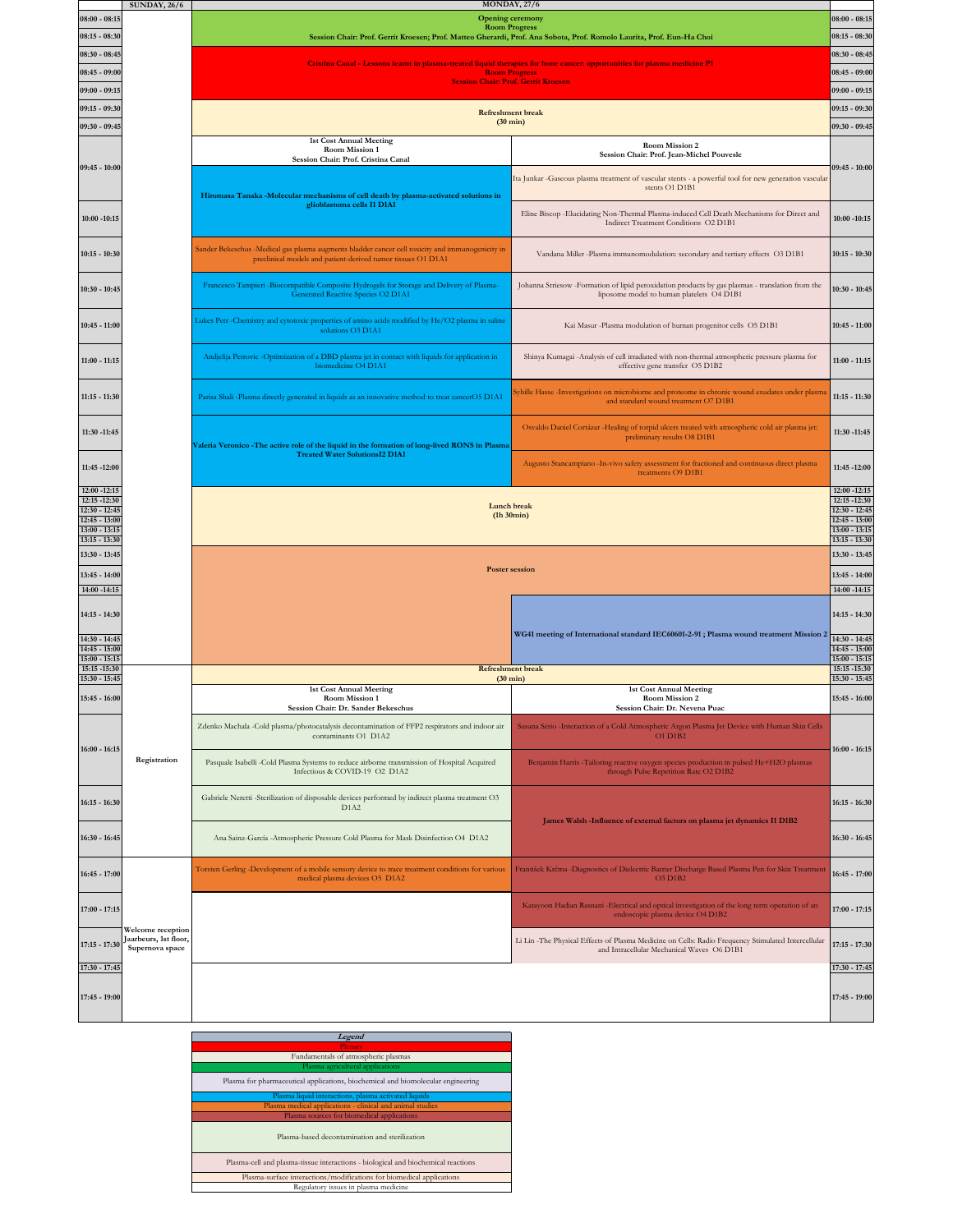|                                                                                                          | <b>SUNDAY, 26/6</b>                      |                                                                                                                                                                  | <b>MONDAY, 27/6</b>                                                                                                                              |                                                     |  |
|----------------------------------------------------------------------------------------------------------|------------------------------------------|------------------------------------------------------------------------------------------------------------------------------------------------------------------|--------------------------------------------------------------------------------------------------------------------------------------------------|-----------------------------------------------------|--|
| $08:00 - 08:15$                                                                                          |                                          |                                                                                                                                                                  | <b>Opening ceremony</b><br><b>Room Progress</b>                                                                                                  | $08:00 - 08:15$                                     |  |
| $08:15 - 08:30$                                                                                          |                                          |                                                                                                                                                                  | Session Chair: Prof. Gerrit Kroesen; Prof. Matteo Gherardi, Prof. Ana Sobota, Prof. Romolo Laurita, Prof. Eun-Ha Choi                            | $08:15 - 08:30$                                     |  |
| 08:30 - 08:45                                                                                            |                                          |                                                                                                                                                                  | Cristina Canal - Lessons learnt in plasma-treated liquid therapies for bone cancer: opportunities for plasma medicine P1                         | $08:30 - 08:45$                                     |  |
| $08:45 - 09:00$                                                                                          |                                          |                                                                                                                                                                  | <b>Room Progress</b><br><b>Session Chair: Prof. Gerrit Kroesen</b>                                                                               | $08:45 - 09:00$                                     |  |
| $09:00 - 09:15$                                                                                          |                                          |                                                                                                                                                                  |                                                                                                                                                  | $09:00 - 09:15$                                     |  |
| $09:15 - 09:30$                                                                                          |                                          |                                                                                                                                                                  | <b>Refreshment</b> break                                                                                                                         | $09:15 - 09:30$                                     |  |
| 09:30 - 09:45                                                                                            |                                          |                                                                                                                                                                  | $(30 \text{ min})$                                                                                                                               | 09:30 - 09:45                                       |  |
|                                                                                                          |                                          | <b>1st Cost Annual Meeting</b><br>Room Mission 1<br>Session Chair: Prof. Cristina Canal                                                                          | Room Mission 2<br>Session Chair: Prof. Jean-Michel Pouvesle                                                                                      |                                                     |  |
| $09:45 - 10:00$                                                                                          |                                          | Hiromasa Tanaka -Molecular mechanisms of cell death by plasma-activated solutions in                                                                             | Ita Junkar -Gaseous plasma treatment of vascular stents - a powerful tool for new generation vascular<br>stents O1 D1B1                          | $09:45 - 10:00$                                     |  |
| $10:00 - 10:15$                                                                                          |                                          | glioblastoma cells I1 D1A1                                                                                                                                       | Eline Biscop - Elucidating Non-Thermal Plasma-induced Cell Death Mechanisms for Direct and<br>Indirect Treatment Conditions O2 D1B1              | $10:00 - 10:15$                                     |  |
| $10:15 - 10:30$                                                                                          |                                          | Sander Bekeschus -Medical gas plasma augments bladder cancer cell toxicity and immunogenicity in<br>preclinical models and patient-derived tumor tissues O1 D1A1 | Vandana Miller -Plasma immunomodulation: secondary and tertiary effects O3 D1B1                                                                  | 10:15 - 10:30                                       |  |
| $10:30 - 10:45$                                                                                          |                                          | Francesco Tampieri -Biocompatible Composite Hydrogels for Storage and Delivery of Plasma-<br>Generated Reactive Species O2 D1A1                                  | Johanna Striesow -Formation of lipid peroxidation products by gas plasmas - translation from the<br>liposome model to human platelets O4 D1B1    | 10:30 - 10:45                                       |  |
| $10:45 - 11:00$                                                                                          |                                          | Lukes Petr -Chemistry and cytotoxic properties of amino acids modified by He/O2 plasma in saline<br>solutions O3 D1A1                                            | Kai Masur -Plasma modulation of human progenitor cells O5 D1B1                                                                                   | 10:45 - 11:00                                       |  |
| $11:00 - 11:15$                                                                                          |                                          | Andjelija Petrovic -Optimization of a DBD plasma jet in contact with liquids for application in<br>biomedicine O4 D1A1                                           | Shinya Kumagai -Analysis of cell irradiated with non-thermal atmospheric pressure plasma for<br>effective gene transfer O5 D1B2                  | $11:00 - 11:15$                                     |  |
| $11:15 - 11:30$                                                                                          |                                          | Parisa Shali -Plasma directly generated in liquids as an innovative method to treat cancerO5 D1A1                                                                | Sybille Hasse -Investigations on microbiome and proteome in chronic wound exudates under plasma<br>and standard wound treatment O7 D1B1          | 11:15 - 11:30                                       |  |
| 11:30 -11:45                                                                                             |                                          | Valeria Veronico - The active role of the liquid in the formation of long-lived RONS in Plasma<br><b>Treated Water SolutionsI2 D1A1</b>                          | Osvaldo Daniel Cortázar -Healing of torpid ulcers treated with atmospheric cold air plasma jet:<br>preliminary results O8 D1B1                   | 11:30 -11:45                                        |  |
| 11:45 -12:00                                                                                             |                                          |                                                                                                                                                                  | Augusto Stancampiano - In-vivo safety assessment for fractioned and continuous direct plasma<br>treatments O9 D1B1                               | 11:45 -12:00<br>12:00 -12:15                        |  |
| 12:00 -12:15<br>12:15 -12:30<br>$12:30 - 12:45$<br>$12:45 - 13:00$<br>$13:00 - 13:15$<br>$13:15 - 13:30$ |                                          | Lunch break<br>(h30min)                                                                                                                                          |                                                                                                                                                  |                                                     |  |
| 13:30 - 13:45<br>$13:45 - 14:00$                                                                         |                                          | <b>Poster session</b>                                                                                                                                            |                                                                                                                                                  |                                                     |  |
| 14:00 -14:15                                                                                             |                                          |                                                                                                                                                                  |                                                                                                                                                  | 14:00 -14:15                                        |  |
| $14:15 - 14:30$                                                                                          |                                          |                                                                                                                                                                  | WG41 meeting of International standard IEC60601-2-91; Plasma wound treatment Mission 2                                                           | 14:15 - 14:30                                       |  |
| 14:30 - 14:45<br>$14:45 - 15:00$<br>$15:00 - 15:15$                                                      |                                          |                                                                                                                                                                  |                                                                                                                                                  | 14:30 - 14:45<br>$14:45 - 15:00$<br>$15:00 - 15:15$ |  |
| 15:15 -15:30<br>$15:30 - 15:45$                                                                          |                                          |                                                                                                                                                                  | <b>Refreshment</b> break<br>$(30 \text{ min})$                                                                                                   | 15:15 -15:30<br>$15:30 - 15:45$                     |  |
| 15:45 - 16:00                                                                                            |                                          | <b>1st Cost Annual Meeting</b><br><b>Room Mission 1</b><br>Session Chair: Dr. Sander Bekeschus                                                                   | 1st Cost Annual Meeting<br><b>Room Mission 2</b><br>Session Chair: Dr. Nevena Puac                                                               | 15:45 - 16:00                                       |  |
| $16:00 - 16:15$                                                                                          |                                          | Zdenko Machala -Cold plasma/photocatalysis decontamination of FFP2 respirators and indoor air<br>contaminants O1 D1A2                                            | Susana Sério -Interaction of a Cold Atmospheric Argon Plasma Jet Device with Human Skin Cells<br>O1 D1B2                                         | $16:00 - 16:15$                                     |  |
|                                                                                                          | Registration                             | Pasquale Isabelli -Cold Plasma Systems to reduce airborne transmission of Hospital Acquired<br>Infectious & COVID-19 O2 D1A2                                     | Benjamin Harris - Tailoring reactive oxygen species production in pulsed He+H2O plasmas<br>through Pulse Repetition Rate O2 D1B2                 |                                                     |  |
| $16:15 - 16:30$                                                                                          |                                          | Gabriele Neretti -Sterilization of disposable devices performed by indirect plasma treatment O3<br>D1A2                                                          | James Walsh -Influence of external factors on plasma jet dynamics I1 D1B2                                                                        | 16:15 - 16:30                                       |  |
| $16:30 - 16:45$                                                                                          |                                          | Ana Sainz-García -Atmospheric Pressure Cold Plasma for Mask Disinfection O4 D1A2                                                                                 |                                                                                                                                                  | 16:30 - 16:45                                       |  |
| $16:45 - 17:00$                                                                                          |                                          | Torsten Gerling -Development of a mobile sensory device to trace treatment conditions for various<br>medical plasma devices O5 D1A2                              | František Krčma -Diagnostics of Dielectric Barrier Discharge Based Plasma Pen for Skin Treatment<br>O3 D1B2                                      | $16:45 - 17:00$                                     |  |
| $17:00 - 17:15$                                                                                          | Welcome reception                        |                                                                                                                                                                  | Katayoon Hadian Rasnani -Electrical and optical investigation of the long term operation of an<br>endoscopic plasma device O4 D1B2               | $17:00 - 17:15$                                     |  |
| $17:15 - 17:30$<br>17:30 - 17:45                                                                         | Jaarbeurs, 1st floor,<br>Supernova space |                                                                                                                                                                  | Li Lin -The Physical Effects of Plasma Medicine on Cells: Radio Frequency Stimulated Intercellular<br>and Intracellular Mechanical Waves O6 D1B1 | 17:15 - 17:30<br>17:30 - 17:45                      |  |
|                                                                                                          |                                          |                                                                                                                                                                  |                                                                                                                                                  |                                                     |  |
| 17:45 - 19:00                                                                                            |                                          |                                                                                                                                                                  |                                                                                                                                                  | $17:45 - 19:00$                                     |  |
|                                                                                                          |                                          |                                                                                                                                                                  |                                                                                                                                                  |                                                     |  |

**Legend** Plenary Fundamentals of atmospheric plasmas Plasma agricultural applications Plasma for pharmaceutical applications, biochemical and biomolecular engineering lasma liquid interactions, plasma activated liqui Plasma medical applications - clinical and animal studies Plasma sources for biomedical applications Plasma-based decontamination and sterilization Plasma-cell and plasma-tissue interactions - biological and biochemical reactions Plasma-surface interactions/modifications for biomedical applications Regulatory issues in plasma medicine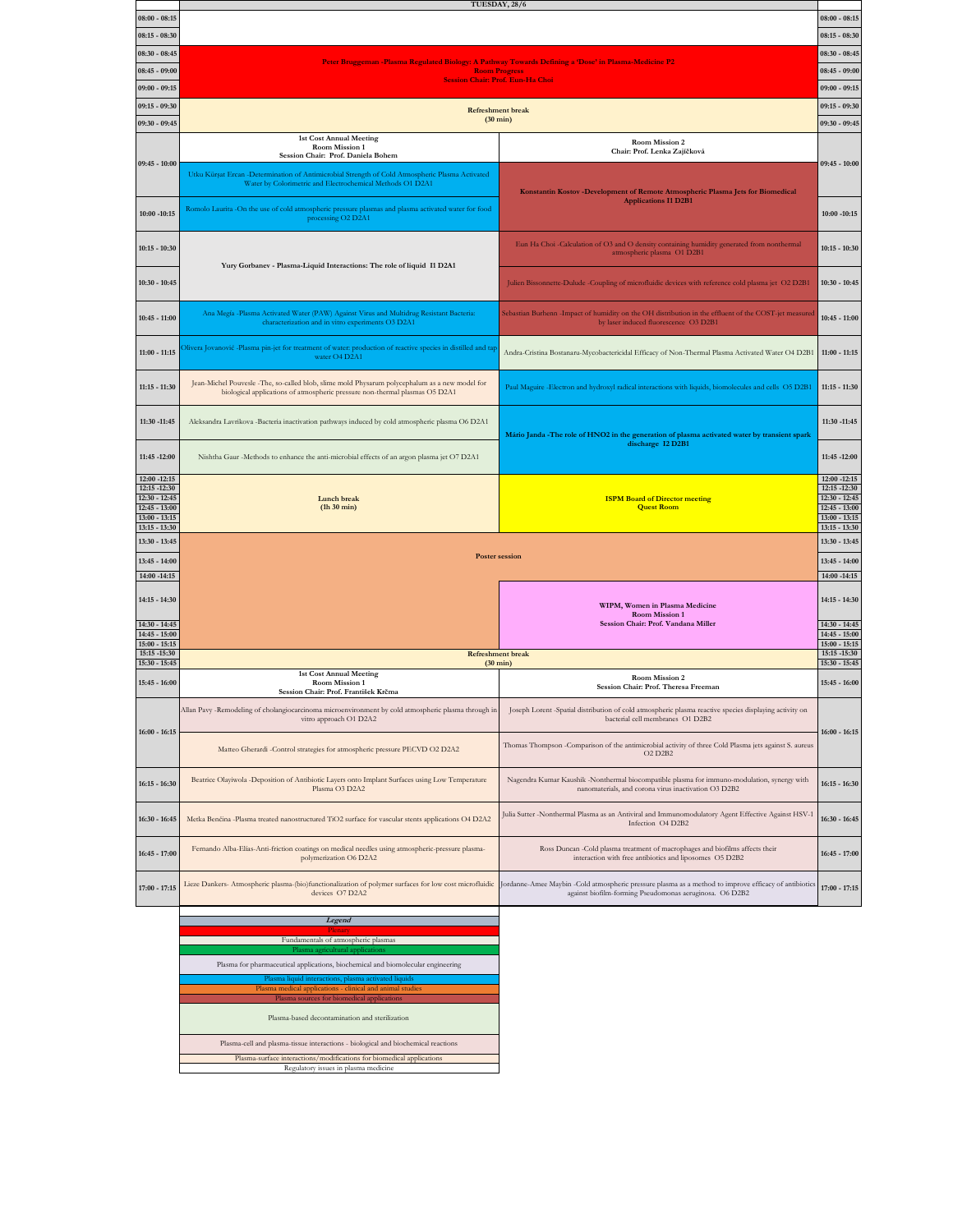|                                    | TUESDAY, 28/6                                                                                                                                                |                                                                                                                                                |                                  |  |  |  |
|------------------------------------|--------------------------------------------------------------------------------------------------------------------------------------------------------------|------------------------------------------------------------------------------------------------------------------------------------------------|----------------------------------|--|--|--|
| $08:00 - 08:15$                    |                                                                                                                                                              |                                                                                                                                                | $08:00 - 08:15$                  |  |  |  |
| $08:15 - 08:30$                    |                                                                                                                                                              |                                                                                                                                                |                                  |  |  |  |
| $08:30 - 08:45$                    | Peter Bruggeman -Plasma Regulated Biology: A Pathway Towards Defining a 'Dose' in Plasma-Medicine P2                                                         |                                                                                                                                                |                                  |  |  |  |
| $08:45 - 09:00$                    |                                                                                                                                                              | <b>Room Progress</b>                                                                                                                           | $08:45 - 09:00$                  |  |  |  |
| $09:00 - 09:15$                    | <b>Session Chair: Prof. Eun-Ha Choi</b>                                                                                                                      |                                                                                                                                                |                                  |  |  |  |
| $09:15 - 09:30$                    |                                                                                                                                                              |                                                                                                                                                |                                  |  |  |  |
|                                    | <b>Refreshment</b> break<br>$(30 \text{ min})$                                                                                                               |                                                                                                                                                |                                  |  |  |  |
| 09:30 - 09:45                      | <b>1st Cost Annual Meeting</b>                                                                                                                               |                                                                                                                                                |                                  |  |  |  |
|                                    | Room Mission 1                                                                                                                                               | Room Mission 2<br>Chair: Prof. Lenka Zajíčková                                                                                                 |                                  |  |  |  |
| $09:45 - 10:00$                    | Session Chair: Prof. Daniela Bohem                                                                                                                           |                                                                                                                                                | $09:45 - 10:00$                  |  |  |  |
|                                    | Utku Kürşat Ercan -Determination of Antimicrobial Strength of Cold Atmospheric Plasma Activated<br>Water by Colorimetric and Electrochemical Methods O1 D2A1 |                                                                                                                                                |                                  |  |  |  |
|                                    |                                                                                                                                                              | Konstantin Kostov -Development of Remote Atmospheric Plasma Jets for Biomedical<br><b>Applications I1 D2B1</b>                                 |                                  |  |  |  |
| $10:00 - 10:15$                    | Romolo Laurita -On the use of cold atmospheric pressure plasmas and plasma activated water for food<br>processing O2 D2A1                                    |                                                                                                                                                |                                  |  |  |  |
|                                    |                                                                                                                                                              |                                                                                                                                                | $10:00 - 10:15$                  |  |  |  |
|                                    |                                                                                                                                                              | Eun Ha Choi-Calculation of O3 and O density containing humidity generated from nonthermal                                                      |                                  |  |  |  |
| $10:15 - 10:30$                    |                                                                                                                                                              | atmospheric plasma O1 D2B1                                                                                                                     | $10:15 - 10:30$                  |  |  |  |
|                                    | Yury Gorbanev - Plasma-Liquid Interactions: The role of liquid I1 D2A1                                                                                       |                                                                                                                                                |                                  |  |  |  |
| $10:30 - 10:45$                    |                                                                                                                                                              | Julien Bissonnette-Dulude -Coupling of microfluidic devices with reference cold plasma jet O2 D2B1                                             | $10:30 - 10:45$                  |  |  |  |
|                                    |                                                                                                                                                              |                                                                                                                                                |                                  |  |  |  |
| $10:45 - 11:00$                    | Ana Megía -Plasma Activated Water (PAW) Against Virus and Multidrug Resistant Bacteria:<br>characterization and in vitro experiments O3 D2A1                 | Sebastian Burhenn -Impact of humidity on the OH distribution in the effluent of the COST-jet measured<br>by laser induced fluorescence O3 D2B1 | $10:45 - 11:00$                  |  |  |  |
|                                    |                                                                                                                                                              |                                                                                                                                                |                                  |  |  |  |
| $11:00 - 11:15$                    | Olivera Jovanović -Plasma pin-jet for treatment of water: production of reactive species in distilled and tap                                                | Andra-Cristina Bostanaru-Mycobactericidal Efficacy of Non-Thermal Plasma Activated Water O4 D2B1                                               | $11:00 - 11:15$                  |  |  |  |
|                                    | water O4 D2A1                                                                                                                                                |                                                                                                                                                |                                  |  |  |  |
|                                    | Jean-Michel Pouvesle -The, so-called blob, slime mold Physarum polycephalum as a new model for                                                               |                                                                                                                                                |                                  |  |  |  |
| $11:15 - 11:30$                    | biological applications of atmospheric pressure non-thermal plasmas O5 D2A1                                                                                  | Paul Maguire -Electron and hydroxyl radical interactions with liquids, biomolecules and cells O5 D2B1                                          | $11:15 - 11:30$                  |  |  |  |
|                                    |                                                                                                                                                              |                                                                                                                                                |                                  |  |  |  |
| 11:30 -11:45                       | Aleksandra Lavrikova -Bacteria inactivation pathways induced by cold atmospheric plasma O6 D2A1                                                              |                                                                                                                                                | 11:30 -11:45                     |  |  |  |
|                                    |                                                                                                                                                              | Mário Janda -The role of HNO2 in the generation of plasma activated water by transient spark<br>discharge I2 D2B1                              |                                  |  |  |  |
| 11:45 -12:00                       | Nishtha Gaur -Methods to enhance the anti-microbial effects of an argon plasma jet O7 D2A1                                                                   |                                                                                                                                                | 11:45 -12:00                     |  |  |  |
|                                    |                                                                                                                                                              |                                                                                                                                                |                                  |  |  |  |
| 12:00 -12:15                       |                                                                                                                                                              |                                                                                                                                                |                                  |  |  |  |
| 12:15 -12:30                       |                                                                                                                                                              |                                                                                                                                                | $12:00 - 12:15$<br>12:15 -12:30  |  |  |  |
| $12:30 - 12:45$                    | Lunch break                                                                                                                                                  | <b>ISPM Board of Director meeting</b>                                                                                                          | $12:30 - 12:45$                  |  |  |  |
| $12:45 - 13:00$<br>$13:00 - 13:15$ | $(h30 \text{ min})$                                                                                                                                          | <b>Quest Room</b>                                                                                                                              | 12:45 - 13:00<br>$13:00 - 13:15$ |  |  |  |
| $13:15 - 13:30$                    |                                                                                                                                                              |                                                                                                                                                | $13:15 - 13:30$                  |  |  |  |
| 13:30 - 13:45                      |                                                                                                                                                              |                                                                                                                                                | 13:30 - 13:45                    |  |  |  |
| $13:45 - 14:00$                    | <b>Poster session</b>                                                                                                                                        |                                                                                                                                                | $13:45 - 14:00$                  |  |  |  |
| 14:00 -14:15                       |                                                                                                                                                              |                                                                                                                                                | 14:00 -14:15                     |  |  |  |
|                                    |                                                                                                                                                              |                                                                                                                                                |                                  |  |  |  |
| 14:15 - 14:30                      |                                                                                                                                                              | WIPM, Women in Plasma Medicine                                                                                                                 | 14:15 - 14:30                    |  |  |  |
| 14:30 - 14:45                      |                                                                                                                                                              | <b>Room Mission 1</b><br>Session Chair: Prof. Vandana Miller                                                                                   | $14:30 - 14:45$                  |  |  |  |
| $14:45 - 15:00$                    |                                                                                                                                                              |                                                                                                                                                | $14:45 - 15:00$                  |  |  |  |
| $15:00 - 15:15$<br>15:15 -15:30    | <b>Refreshment break</b>                                                                                                                                     |                                                                                                                                                | $15:00 - 15:15$<br>15:15 -15:30  |  |  |  |
| 15:30 - 15:45                      | $(30 \text{ min})$<br><b>1st Cost Annual Meeting</b>                                                                                                         |                                                                                                                                                | $15:30 - 15:45$                  |  |  |  |
| 15:45 - 16:00                      | Room Mission 1                                                                                                                                               | <b>Room Mission 2</b><br>Session Chair: Prof. Theresa Freeman                                                                                  | $15:45 - 16:00$                  |  |  |  |
|                                    | Session Chair: Prof. František Krčma                                                                                                                         |                                                                                                                                                |                                  |  |  |  |
|                                    | Allan Pavy -Remodeling of cholangiocarcinoma microenvironment by cold atmospheric plasma through in<br>vitro approach O1 D2A2                                | Joseph Lorent -Spatial distribution of cold atmospheric plasma reactive species displaying activity on<br>bacterial cell membranes O1 D2B2     |                                  |  |  |  |
| $16:00 - 16:15$                    |                                                                                                                                                              |                                                                                                                                                | $16:00 - 16:15$                  |  |  |  |
|                                    | Matteo Gherardi -Control strategies for atmospheric pressure PECVD O2 D2A2                                                                                   | Thomas Thompson -Comparison of the antimicrobial activity of three Cold Plasma jets against S. aureus                                          |                                  |  |  |  |
|                                    |                                                                                                                                                              | <b>O2 D2B2</b>                                                                                                                                 |                                  |  |  |  |
|                                    | Beatrice Olayiwola -Deposition of Antibiotic Layers onto Implant Surfaces using Low Temperature                                                              | Nagendra Kumar Kaushik -Nonthermal biocompatible plasma for immuno-modulation, synergy with                                                    |                                  |  |  |  |
| $16:15 - 16:30$                    | Plasma O3 D2A2                                                                                                                                               | nanomaterials, and corona virus inactivation O3 D2B2                                                                                           | 16:15 - 16:30                    |  |  |  |
|                                    |                                                                                                                                                              |                                                                                                                                                |                                  |  |  |  |
| 16:30 - 16:45                      | Metka Benčina -Plasma treated nanostructured TiO2 surface for vascular stents applications O4 D2A2                                                           | Julia Sutter -Nonthermal Plasma as an Antiviral and Immunomodulatory Agent Effective Against HSV-1<br>Infection O4 D2B2                        | 16:30 - 16:45                    |  |  |  |
|                                    |                                                                                                                                                              |                                                                                                                                                |                                  |  |  |  |
| $16:45 - 17:00$                    | Fernando Alba-Elías-Anti-friction coatings on medical needles using atmospheric-pressure plasma-                                                             | Ross Duncan -Cold plasma treatment of macrophages and biofilms affects their                                                                   | $16:45 - 17:00$                  |  |  |  |
|                                    | polymerization O6 D2A2                                                                                                                                       | interaction with free antibiotics and liposomes O5 D2B2                                                                                        |                                  |  |  |  |
| $17:00 - 17:15$                    | Lieze Dankers- Atmospheric plasma-(bio)functionalization of polymer surfaces for low cost microfluidic                                                       | Jordanne-Amee Maybin -Cold atmospheric pressure plasma as a method to improve efficacy of antibiotics                                          |                                  |  |  |  |
|                                    | devices O7 D2A2                                                                                                                                              | against biofilm-forming Pseudomonas aeruginosa. O6 D2B2                                                                                        | $17:00 - 17:15$                  |  |  |  |
|                                    | Legend                                                                                                                                                       |                                                                                                                                                |                                  |  |  |  |

**Plenary**<br>Fundamentals of atmospheric plasmas

Plasma agricultural applications Plasma for pharmaceutical applications, biochemical and biomolecular engineering Plasma liquid interactions, plasma activated liquids Plasma medical applications - clinical and animal studies Plasma sources for biomedical applications

Plasma-based decontamination and sterilization

Plasma-cell and plasma-tissue interactions - biological and biochemical reactions Plasma-surface interactions/modifications for biomedical applications Regulatory issues in plasma medicine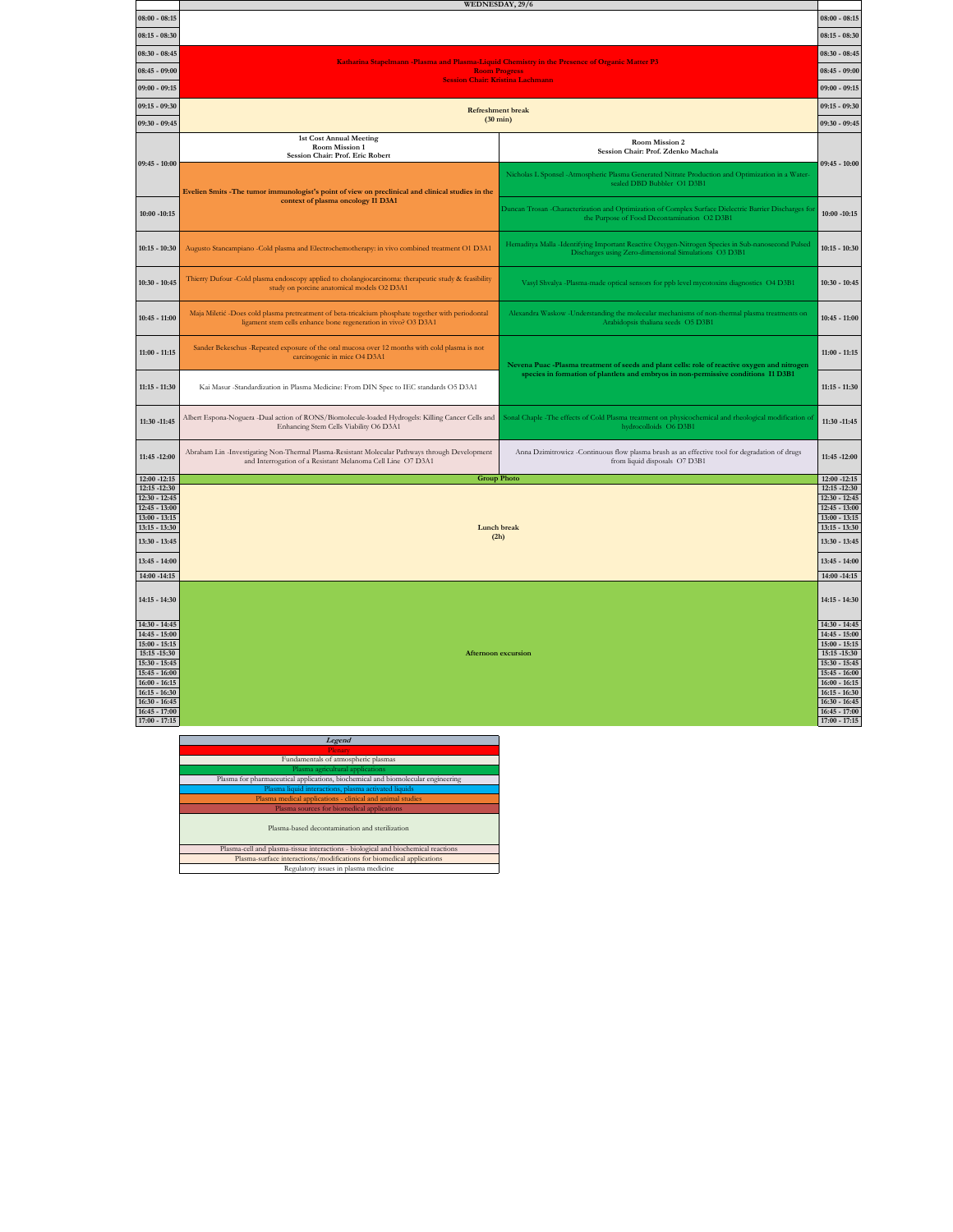|                                    | WEDNESDAY, 29/6                                                                                                                                                      |                                                                                                                                                                                    |                                    |  |  |  |
|------------------------------------|----------------------------------------------------------------------------------------------------------------------------------------------------------------------|------------------------------------------------------------------------------------------------------------------------------------------------------------------------------------|------------------------------------|--|--|--|
| $08:00 - 08:15$                    |                                                                                                                                                                      |                                                                                                                                                                                    | $08:00 - 08:15$                    |  |  |  |
| $08:15 - 08:30$                    |                                                                                                                                                                      |                                                                                                                                                                                    |                                    |  |  |  |
| $08:30 - 08:45$                    | Katharina Stapelmann -Plasma and Plasma-Liquid Chemistry in the Presence of Organic Matter P3                                                                        |                                                                                                                                                                                    |                                    |  |  |  |
| $08:45 - 09:00$                    | <b>Room Progress</b><br>$08:45 - 09:00$                                                                                                                              |                                                                                                                                                                                    |                                    |  |  |  |
| $09:00 - 09:15$                    | <b>Session Chair: Kristina Lachmann</b>                                                                                                                              |                                                                                                                                                                                    |                                    |  |  |  |
| $09:15 - 09:30$                    | $09:15 - 09:30$<br><b>Refreshment</b> break                                                                                                                          |                                                                                                                                                                                    |                                    |  |  |  |
| 09:30 - 09:45                      | $(30 \text{ min})$                                                                                                                                                   |                                                                                                                                                                                    |                                    |  |  |  |
|                                    | <b>1st Cost Annual Meeting</b><br><b>Room Mission 2</b><br>Room Mission 1                                                                                            |                                                                                                                                                                                    |                                    |  |  |  |
|                                    | Session Chair: Prof. Eric Robert                                                                                                                                     | Session Chair: Prof. Zdenko Machala                                                                                                                                                | $09:45 - 10:00$                    |  |  |  |
| $09:45 - 10:00$                    |                                                                                                                                                                      | Nicholas L Sponsel - Atmospheric Plasma Generated Nitrate Production and Optimization in a Water-                                                                                  |                                    |  |  |  |
|                                    | Evelien Smits -The tumor immunologist's point of view on preclinical and clinical studies in the                                                                     | sealed DBD Bubbler O1 D3B1                                                                                                                                                         |                                    |  |  |  |
|                                    | context of plasma oncology I1 D3A1                                                                                                                                   | Duncan Trosan -Characterization and Optimization of Complex Surface Dielectric Barrier Discharges for                                                                              |                                    |  |  |  |
| $10:00 - 10:15$                    |                                                                                                                                                                      | the Purpose of Food Decontamination O2 D3B1                                                                                                                                        | $10:00 - 10:15$                    |  |  |  |
| $10:15 - 10:30$                    | Augusto Stancampiano -Cold plasma and Electrochemotherapy: in vivo combined treatment O1 D3A1                                                                        | Hemaditya Malla -Identifying Important Reactive Oxygen-Nitrogen Species in Sub-nanosecond Pulsed                                                                                   | $10:15 - 10:30$                    |  |  |  |
|                                    |                                                                                                                                                                      | Discharges using Zero-dimensional Simulations O3 D3B1                                                                                                                              |                                    |  |  |  |
| $10:30 - 10:45$                    | Thierry Dufour -Cold plasma endoscopy applied to cholangiocarcinoma: therapeutic study & feasibility<br>study on porcine anatomical models O2 D3A1                   | Vasyl Shvalya -Plasma-made optical sensors for ppb level mycotoxins diagnostics O4 D3B1                                                                                            | $10:30 - 10:45$                    |  |  |  |
|                                    |                                                                                                                                                                      |                                                                                                                                                                                    |                                    |  |  |  |
| $10:45 - 11:00$                    | Maja Miletić -Does cold plasma pretreatment of beta-tricalcium phosphate together with periodontal<br>ligament stem cells enhance bone regeneration in vivo? O3 D3A1 | Alexandra Waskow -Understanding the molecular mechanisms of non-thermal plasma treatments on<br>Arabidopsis thaliana seeds O5 D3B1                                                 | $10:45 - 11:00$                    |  |  |  |
|                                    |                                                                                                                                                                      |                                                                                                                                                                                    |                                    |  |  |  |
| $11:00 - 11:15$                    | Sander Bekeschus -Repeated exposure of the oral mucosa over 12 months with cold plasma is not<br>carcinogenic in mice O4 D3A1                                        |                                                                                                                                                                                    | $11:00 - 11:15$                    |  |  |  |
|                                    |                                                                                                                                                                      | Nevena Puac -Plasma treatment of seeds and plant cells: role of reactive oxygen and nitrogen<br>species in formation of plantlets and embryos in non-permissive conditions I1 D3B1 |                                    |  |  |  |
| $11:15 - 11:30$                    | Kai Masur -Standardization in Plasma Medicine: From DIN Spec to IEC standards O5 D3A1                                                                                |                                                                                                                                                                                    | $11:15 - 11:30$                    |  |  |  |
|                                    | Albert Espona-Noguera -Dual action of RONS/Biomolecule-loaded Hydrogels: Killing Cancer Cells and                                                                    | Sonal Chaple -The effects of Cold Plasma treatment on physicochemical and rheological modification of                                                                              |                                    |  |  |  |
| 11:30 -11:45                       | Enhancing Stem Cells Viability O6 D3A1                                                                                                                               | hydrocolloids O6 D3B1                                                                                                                                                              | 11:30 -11:45                       |  |  |  |
| 11:45 -12:00                       | Abraham Lin - Investigating Non-Thermal Plasma-Resistant Molecular Pathways through Development                                                                      | Anna Dzimitrowicz -Continuous flow plasma brush as an effective tool for degradation of drugs                                                                                      | 11:45 -12:00                       |  |  |  |
|                                    | and Interrogation of a Resistant Melanoma Cell Line O7 D3A1                                                                                                          | from liquid disposals O7 D3B1                                                                                                                                                      |                                    |  |  |  |
| 12:00 -12:15<br>12:15 -12:30       |                                                                                                                                                                      | <b>Group Photo</b>                                                                                                                                                                 | $12:00 - 12:15$<br>12:15 -12:30    |  |  |  |
| $12:30 - 12:45$                    |                                                                                                                                                                      |                                                                                                                                                                                    | $12:30 - 12:45$                    |  |  |  |
| $12:45 - 13:00$                    |                                                                                                                                                                      |                                                                                                                                                                                    | $12:45 - 13:00$                    |  |  |  |
| $13:00 - 13:15$<br>$13:15 - 13:30$ |                                                                                                                                                                      | Lunch break                                                                                                                                                                        | $13:00 - 13:15$<br>$13:15 - 13:30$ |  |  |  |
| 13:30 - 13:45                      | (2h)                                                                                                                                                                 |                                                                                                                                                                                    |                                    |  |  |  |
| $13:45 - 14:00$                    |                                                                                                                                                                      |                                                                                                                                                                                    | $13:45 - 14:00$                    |  |  |  |
| $14:00 - 14:15$                    |                                                                                                                                                                      |                                                                                                                                                                                    |                                    |  |  |  |
| $14:15 - 14:30$                    | $14:00 - 14:15$<br>$14:15 - 14:30$                                                                                                                                   |                                                                                                                                                                                    |                                    |  |  |  |
| 14:30 - 14:45                      | 14:30 - 14:45<br>$14:45 - 15:00$<br>$15:00 - 15:15$<br>Afternoon excursion<br>15:15 -15:30<br>$15:30 - 15:45$<br>$15:45 - 16:00$                                     |                                                                                                                                                                                    |                                    |  |  |  |
| $14:45 - 15:00$                    |                                                                                                                                                                      |                                                                                                                                                                                    |                                    |  |  |  |
| $15:00 - 15:15$                    |                                                                                                                                                                      |                                                                                                                                                                                    |                                    |  |  |  |
| 15:15 -15:30<br>$15:30 - 15:45$    |                                                                                                                                                                      |                                                                                                                                                                                    |                                    |  |  |  |
| $15:45 - 16:00$                    |                                                                                                                                                                      |                                                                                                                                                                                    |                                    |  |  |  |
| $16:00 - 16:15$                    |                                                                                                                                                                      |                                                                                                                                                                                    | $16:00 - 16:15$<br>$16:15 - 16:30$ |  |  |  |
| $16:15 - 16:30$<br>$16:30 - 16:45$ | $16:30 - 16:45$                                                                                                                                                      |                                                                                                                                                                                    |                                    |  |  |  |
| $16:45 - 17:00$                    |                                                                                                                                                                      |                                                                                                                                                                                    |                                    |  |  |  |
| $17:00 - 17:15$                    | $16:45 - 17:00$<br>$17:00 - 17:15$                                                                                                                                   |                                                                                                                                                                                    |                                    |  |  |  |

| Legend                                                                            |
|-----------------------------------------------------------------------------------|
| Plenary                                                                           |
| Fundamentals of atmospheric plasmas                                               |
| Plasma agricultural applications                                                  |
| Plasma for pharmaceutical applications, biochemical and biomolecular engineering  |
| Plasma liquid interactions, plasma activated liquids                              |
| Plasma medical applications - clinical and animal studies                         |
| Plasma sources for biomedical applications                                        |
| Plasma-based decontamination and sterilization                                    |
| Plasma-cell and plasma-tissue interactions - biological and biochemical reactions |
| Plasma-surface interactions/modifications for biomedical applications             |
| Regulatory issues in plasma medicine                                              |
|                                                                                   |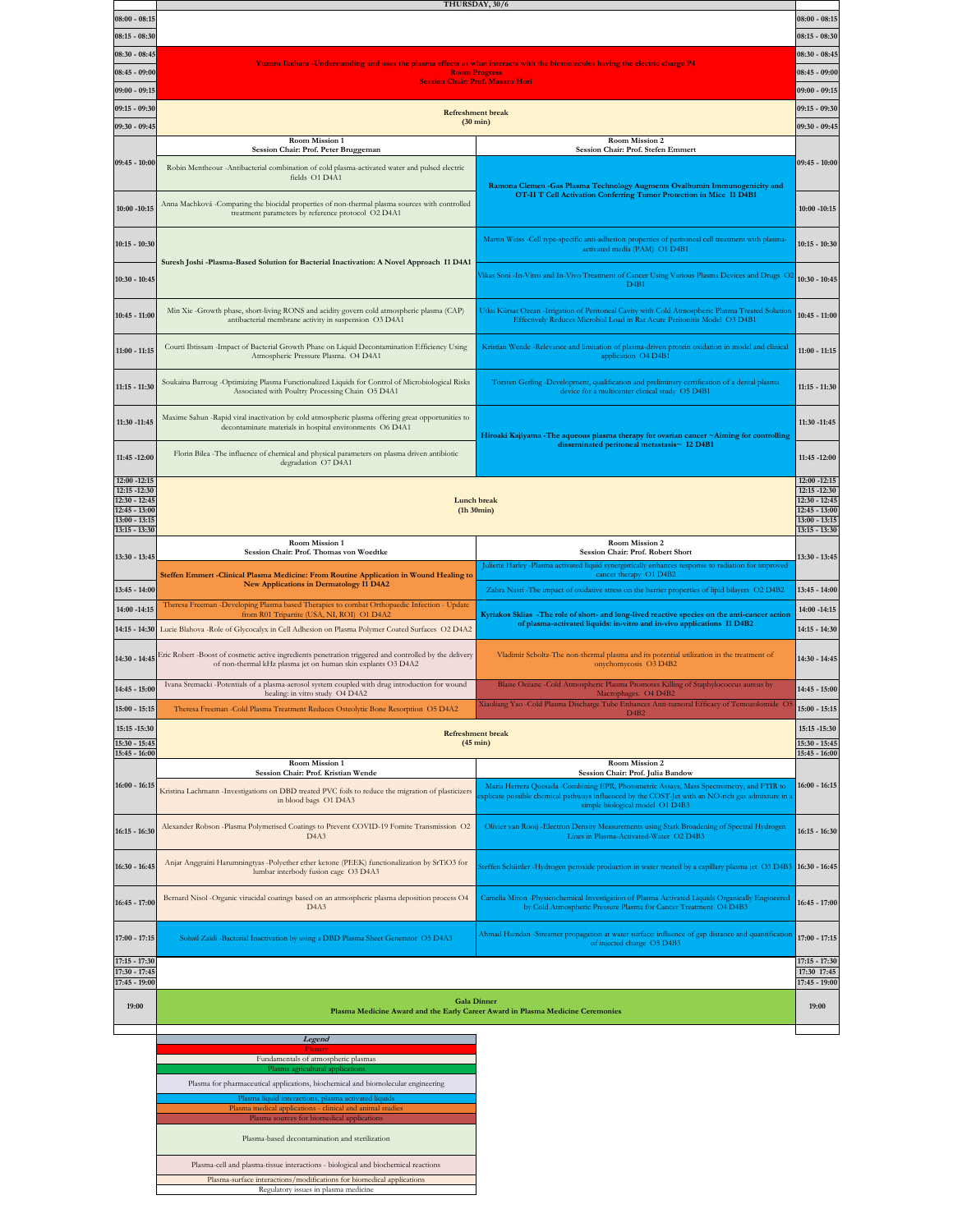|                                | THURSDAY, 30/6                                                                                                                                                |                                                                                                                                                                                               |                                    |  |  |  |
|--------------------------------|---------------------------------------------------------------------------------------------------------------------------------------------------------------|-----------------------------------------------------------------------------------------------------------------------------------------------------------------------------------------------|------------------------------------|--|--|--|
| $08:00 - 08:15$                |                                                                                                                                                               |                                                                                                                                                                                               | $08:00 - 08:15$                    |  |  |  |
| $08:15 - 08:30$                |                                                                                                                                                               |                                                                                                                                                                                               | $08:15 - 08:30$                    |  |  |  |
| 08:30 - 08:45                  |                                                                                                                                                               |                                                                                                                                                                                               |                                    |  |  |  |
| 08:45 - 09:00                  | Yuzuru Ikehara -Understanding and uses the plasma effects as what interacts with the biomolecules having the electric charge P4<br><b>Room Progress</b>       |                                                                                                                                                                                               |                                    |  |  |  |
| $09:00 - 09:15$                | <u> Session Chair: Prof. Masaru Hori</u>                                                                                                                      |                                                                                                                                                                                               |                                    |  |  |  |
|                                |                                                                                                                                                               |                                                                                                                                                                                               |                                    |  |  |  |
| 09:15 - 09:30                  | <b>Refreshment</b> break<br>$(30 \text{ min})$                                                                                                                |                                                                                                                                                                                               |                                    |  |  |  |
| 09:30 - 09:45                  |                                                                                                                                                               |                                                                                                                                                                                               |                                    |  |  |  |
|                                | Room Mission 1<br>Session Chair: Prof. Peter Bruggeman                                                                                                        | Room Mission 2<br>Session Chair: Prof. Stefen Emmert                                                                                                                                          |                                    |  |  |  |
| $09:45 - 10:00$                | Robin Mentheour -Antibacterial combination of cold plasma-activated water and pulsed electric                                                                 |                                                                                                                                                                                               | $09:45 - 10:00$                    |  |  |  |
|                                | fields O1 D4A1                                                                                                                                                |                                                                                                                                                                                               |                                    |  |  |  |
|                                |                                                                                                                                                               | Ramona Clemen - Gas Plasma Technology Augments Ovalbumin Immunogenicity and<br>OT-II T Cell Activation Conferring Tumor Protection in Mice I1 D4B1                                            |                                    |  |  |  |
| $10:00 - 10:15$                | Anna Machková -Comparing the biocidal properties of non-thermal plasma sources with controlled<br>treatment parameters by reference protocol O2 D4A1          |                                                                                                                                                                                               | $10:00 - 10:15$                    |  |  |  |
|                                |                                                                                                                                                               |                                                                                                                                                                                               |                                    |  |  |  |
| $10:15 - 10:30$                |                                                                                                                                                               | Martin Weiss -Cell type-specific anti-adhesion properties of peritoneal cell treatment with plasma-                                                                                           | 10:15 - 10:30                      |  |  |  |
|                                | Suresh Joshi -Plasma-Based Solution for Bacterial Inactivation: A Novel Approach I1 D4A1                                                                      | activated media (PAM) O1 D4B1                                                                                                                                                                 |                                    |  |  |  |
|                                |                                                                                                                                                               | Vikas Soni - In-Vitro and In-Vivo Treatment of Cancer Using Various Plasma Devices and Drugs O2                                                                                               |                                    |  |  |  |
| 10:30 - 10:45                  |                                                                                                                                                               | D4B1                                                                                                                                                                                          | $10:30 - 10:45$                    |  |  |  |
|                                |                                                                                                                                                               |                                                                                                                                                                                               |                                    |  |  |  |
| $10:45 - 11:00$                | Min Xie -Growth phase, short-living RONS and acidity govern cold atmospheric plasma (CAP)<br>antibacterial membrane activity in suspension O3 D4A1            | Utku Kürsat Ozcan - Irrigation of Peritoneal Cavity with Cold Atmospheric Plasma Treated Solution<br>Effectively Reduces Microbial Load in Rat Acute Peritonitis Model O3 D4B1                | 10:45 - 11:00                      |  |  |  |
|                                |                                                                                                                                                               |                                                                                                                                                                                               |                                    |  |  |  |
| $11:00 - 11:15$                | Courti Ibtissam - Impact of Bacterial Growth Phase on Liquid Decontamination Efficiency Using                                                                 | Kristian Wende -Relevance and limitation of plasma-driven protein oxidation in model and clinical                                                                                             | $11:00 - 11:15$                    |  |  |  |
|                                | Atmospheric Pressure Plasma. O4 D4A1                                                                                                                          | application O4 D4B1                                                                                                                                                                           |                                    |  |  |  |
|                                | Soukaina Barroug - Optimizing Plasma Functionalized Liquids for Control of Microbiological Risks                                                              | Torsten Gerling -Development, qualification and preliminary certification of a dental plasma                                                                                                  |                                    |  |  |  |
| $11:15 - 11:30$                | Associated with Poultry Processing Chain O5 D4A1                                                                                                              | device for a multicenter clinical study O5 D4B1                                                                                                                                               | $11:15 - 11:30$                    |  |  |  |
|                                |                                                                                                                                                               |                                                                                                                                                                                               |                                    |  |  |  |
| 11:30 -11:45                   | Maxime Sahun -Rapid viral inactivation by cold atmospheric plasma offering great opportunities to<br>decontaminate materials in hospital environments O6 D4A1 |                                                                                                                                                                                               | 11:30 -11:45                       |  |  |  |
|                                |                                                                                                                                                               | Hiroaki Kajiyama -The aqueous plasma therapy for ovarian cancer ~Aiming for controlling<br>disseminated peritoneal metastasis~ I2 D4B1                                                        |                                    |  |  |  |
| 11:45 -12:00                   | Florin Bilea - The influence of chemical and physical parameters on plasma driven antibiotic                                                                  |                                                                                                                                                                                               | 11:45 -12:00                       |  |  |  |
|                                | degradation O7 D4A1                                                                                                                                           |                                                                                                                                                                                               |                                    |  |  |  |
| 12:00 -12:15<br>12:15 -12:30   |                                                                                                                                                               |                                                                                                                                                                                               | 12:00 -12:15<br>12:15 -12:30       |  |  |  |
| 12:30 - 12:45                  | Lunch break                                                                                                                                                   |                                                                                                                                                                                               | $12:30 - 12:45$                    |  |  |  |
| 12:45 - 13:00<br>13:00 - 13:15 | (h30min)                                                                                                                                                      |                                                                                                                                                                                               | $12:45 - 13:00$<br>$13:00 - 13:15$ |  |  |  |
| 13:15 - 13:30                  |                                                                                                                                                               | $13:15 - 13:30$                                                                                                                                                                               |                                    |  |  |  |
|                                |                                                                                                                                                               |                                                                                                                                                                                               |                                    |  |  |  |
|                                | Room Mission 1                                                                                                                                                | Room Mission 2                                                                                                                                                                                |                                    |  |  |  |
| 13:30 - 13:45                  | Session Chair: Prof. Thomas von Woedtke                                                                                                                       | Session Chair: Prof. Robert Short<br>Juliette Harley -Plasma activated liquid synergistically enhances response to radiation for improved                                                     | 13:30 - 13:45                      |  |  |  |
|                                | Steffen Emmert -Clinical Plasma Medicine: From Routine Application in Wound Healing to                                                                        | cancer therapy O1 D4B2                                                                                                                                                                        |                                    |  |  |  |
| 13:45 - 14:00                  | New Applications in Dermatology I1 D4A2                                                                                                                       | Zahra Nasri - The impact of oxidative stress on the barrier properties of lipid bilayers O2 D4B2                                                                                              | 13:45 - 14:00                      |  |  |  |
| 14:00 -14:15                   | Theresa Freeman -Developing Plasma based Therapies to combat Orthopaedic Infection - Update                                                                   |                                                                                                                                                                                               | 14:00 -14:15                       |  |  |  |
|                                | from R01 Tripartite (USA, NI, ROI) O1 D4A2                                                                                                                    | Kyriakos Sklias -The role of short- and long-lived reactive species on the anti-cancer action<br>of plasma-activated liquids: in-vitro and in-vivo applications I1 D4B2                       |                                    |  |  |  |
| $14:15 - 14:30$                | Lucie Blahova -Role of Glycocalyx in Cell Adhesion on Plasma Polymer Coated Surfaces O2 D4A2                                                                  |                                                                                                                                                                                               | 14:15 - 14:30                      |  |  |  |
| 14:30 - 14:45                  | Eric Robert -Boost of cosmetic active ingredients penetration triggered and controlled by the delivery                                                        | Vladimir Scholtz-The non-thermal plasma and its potential utilization in the treatment of                                                                                                     | 14:30 - 14:45                      |  |  |  |
|                                | of non-thermal kHz plasma jet on human skin explants O3 D4A2                                                                                                  | onychomycosis O3 D4B2                                                                                                                                                                         |                                    |  |  |  |
| 14:45 - 15:00                  | Ivana Sremacki -Potentials of a plasma-aerosol system coupled with drug introduction for wound                                                                | Blaise Océane -Cold Atmospheric Plasma Promotes Killing of Staphylococcus aureus by                                                                                                           | 14:45 - 15:00                      |  |  |  |
|                                | healing: in vitro study O4 D4A2                                                                                                                               | Macrophages. O4 D4B2<br>Xiaoliang Yao -Cold Plasma Discharge Tube Enhances Anti-tumoral Efficacy of Temozolomide O5                                                                           |                                    |  |  |  |
| $15:00 - 15:15$                | Theresa Freeman -Cold Plasma Treatment Reduces Osteolytic Bone Resorption O5 D4A2                                                                             | D <sub>4</sub> B <sub>2</sub>                                                                                                                                                                 | $15:00 - 15:15$                    |  |  |  |
| 15:15 -15:30                   | <b>Refreshment</b> break                                                                                                                                      |                                                                                                                                                                                               | 15:15 -15:30                       |  |  |  |
| 15:30 - 15:45<br>15:45 - 16:00 |                                                                                                                                                               | $(45 \text{ min})$                                                                                                                                                                            | $15:30 - 15:45$<br>$15:45 - 16:00$ |  |  |  |
|                                | Room Mission 1                                                                                                                                                | Room Mission 2                                                                                                                                                                                |                                    |  |  |  |
|                                | Session Chair: Prof. Kristian Wende                                                                                                                           | Session Chair: Prof. Julia Bandow                                                                                                                                                             |                                    |  |  |  |
| $16:00 - 16:15$                | Kristina Lachmann - Investigations on DBD treated PVC foils to reduce the migration of plasticizers                                                           | Maria Herrera Quesada -Combining EPR, Photometric Assays, Mass Spectrometry, and FTIR to<br>splicate possible chemical pathways influenced by the COST-Jet with an NO-rich gas admixture in a | $16:00 - 16:15$                    |  |  |  |
|                                | in blood bags O1 D4A3                                                                                                                                         | simple biological model O1 D4B3                                                                                                                                                               |                                    |  |  |  |
|                                | Alexander Robson -Plasma Polymerised Coatings to Prevent COVID-19 Fomite Transmission O2                                                                      | Olivier van Rooij -Electron Density Measurements using Stark Broadening of Spectral Hydrogen                                                                                                  |                                    |  |  |  |
| $16:15 - 16:30$                | D <sub>4</sub> A <sub>3</sub>                                                                                                                                 | Lines in Plasma-Activated-Water O2 D4B3                                                                                                                                                       | 16:15 - 16:30                      |  |  |  |
|                                |                                                                                                                                                               |                                                                                                                                                                                               |                                    |  |  |  |
| 16:30 - 16:45                  | Anjar Anggraini Harumningtyas -Polyether ether ketone (PEEK) functionalization by SrTiO3 for<br>lumbar interbody fusion cage O3 D4A3                          | Steffen Schüttler -Hydrogen peroxide production in water treated by a capillary plasma jet O3 D4B3                                                                                            | $16:30 - 16:45$                    |  |  |  |
|                                |                                                                                                                                                               |                                                                                                                                                                                               |                                    |  |  |  |
| $16:45 - 17:00$                | Bernard Nisol -Organic virucidal coatings based on an atmospheric plasma deposition process O4                                                                | Camelia Miron -Physicochemical Investigation of Plasma Activated Liquids Organically Engineered                                                                                               | $16:45 - 17:00$                    |  |  |  |
|                                | D4A3                                                                                                                                                          | by Cold Atmospheric Pressure Plasma for Cancer Treatment O4 D4B3                                                                                                                              |                                    |  |  |  |
|                                |                                                                                                                                                               | Ahmad Hamdan -Streamer propagation at water surface: influence of gap distance and quantification                                                                                             |                                    |  |  |  |
| 17:00 - 17:15                  | Sohail Zaidi -Bacterial Inactivation by using a DBD Plasma Sheet Generator O5 D4A3                                                                            | of injected charge O5 D4B3                                                                                                                                                                    | $17:00 - 17:15$                    |  |  |  |
| $17:15 - 17:30$                |                                                                                                                                                               |                                                                                                                                                                                               | $17:15 - 17:30$                    |  |  |  |
| 17:30 - 17:45                  |                                                                                                                                                               |                                                                                                                                                                                               | 17:30 17:45                        |  |  |  |
| 17:45 - 19:00                  |                                                                                                                                                               |                                                                                                                                                                                               | 17:45 - 19:00                      |  |  |  |
| 19:00                          | <b>Gala Dinner</b><br>Plasma Medicine Award and the Early Career Award in Plasma Medicine Ceremonies                                                          |                                                                                                                                                                                               | 19:00                              |  |  |  |
|                                |                                                                                                                                                               |                                                                                                                                                                                               |                                    |  |  |  |

**Plenary**<br>Fundamentals of atmospheric plasmas Plasma agricultural appl Plasma for pharmaceutical applications, biochemical and biomolecular engineering n liquid interactions, plasma activations Plasma medical applications - clinical and animal studies Plasma sources for biomedical applications Plasma-based decontamination and sterilization Plasma-cell and plasma-tissue interactions - biological and biochemical reactions

Plasma-surface interactions/modifications for biomedical applications Regulatory issues in plasma medicine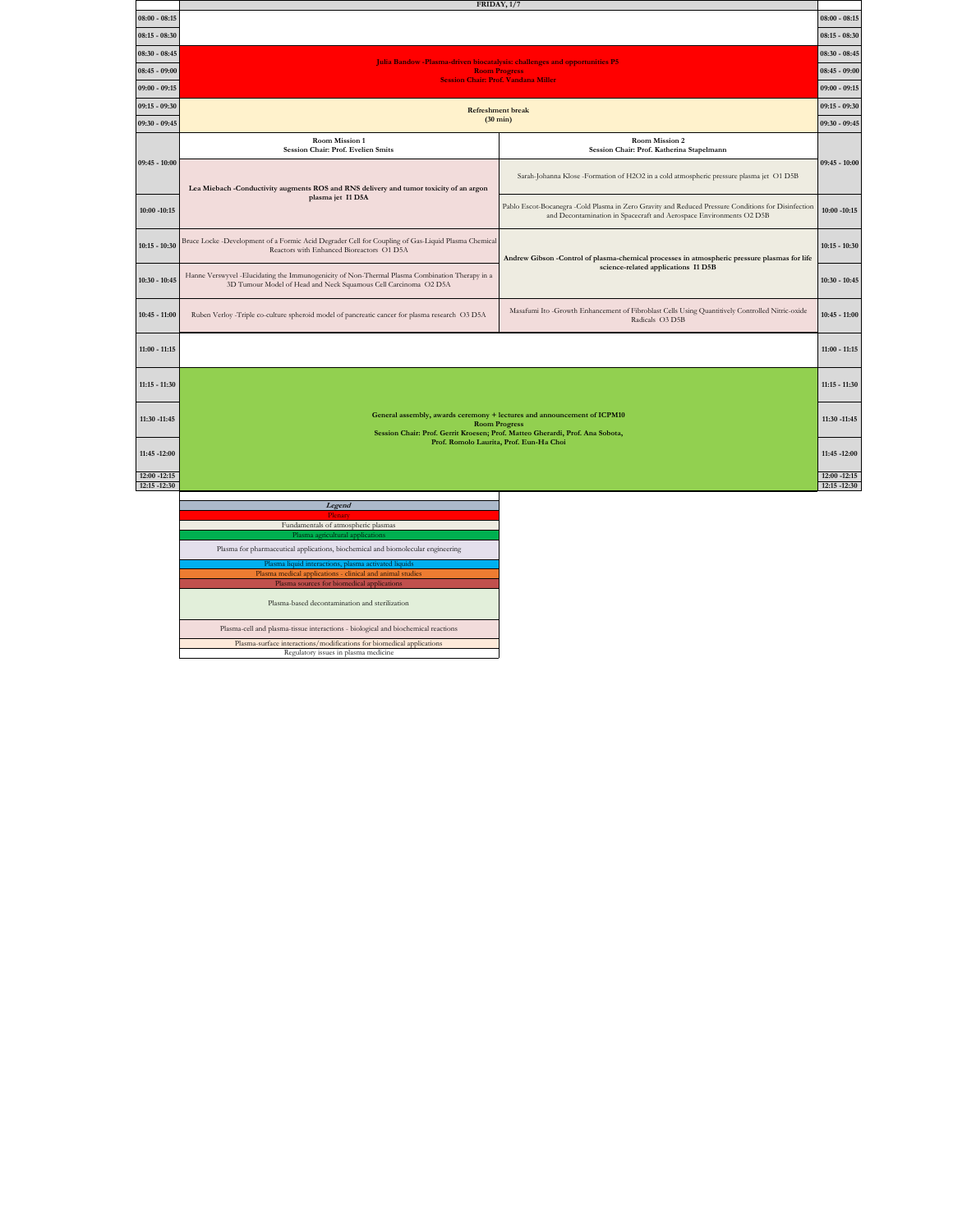|                                 |                                                                                                                                                                                  | FRIDAY, 1/7                                                                                                                                                                |                              |  |  |  |  |
|---------------------------------|----------------------------------------------------------------------------------------------------------------------------------------------------------------------------------|----------------------------------------------------------------------------------------------------------------------------------------------------------------------------|------------------------------|--|--|--|--|
| $08:00 - 08:15$                 |                                                                                                                                                                                  |                                                                                                                                                                            |                              |  |  |  |  |
| $08:15 - 08:30$                 |                                                                                                                                                                                  |                                                                                                                                                                            |                              |  |  |  |  |
| $08:30 - 08:45$                 | $08:30 - 08:45$<br>Julia Bandow -Plasma-driven biocatalysis: challenges and opportunities P5                                                                                     |                                                                                                                                                                            |                              |  |  |  |  |
| $08:45 - 09:00$                 | <b>Room Progress</b>                                                                                                                                                             |                                                                                                                                                                            |                              |  |  |  |  |
| $09:00 - 09:15$                 | <b>Session Chair: Prof. Vandana Miller</b>                                                                                                                                       |                                                                                                                                                                            |                              |  |  |  |  |
| $09:15 - 09:30$                 | <b>Refreshment break</b>                                                                                                                                                         |                                                                                                                                                                            |                              |  |  |  |  |
| $09:30 - 09:45$                 | $(30 \text{ min})$                                                                                                                                                               |                                                                                                                                                                            |                              |  |  |  |  |
|                                 | Room Mission 1<br>Session Chair: Prof. Evelien Smits                                                                                                                             | Room Mission 2<br>Session Chair: Prof. Katherina Stapelmann                                                                                                                |                              |  |  |  |  |
| $09:45 - 10:00$                 | Lea Miebach -Conductivity augments ROS and RNS delivery and tumor toxicity of an argon                                                                                           | Sarah-Johanna Klose -Formation of H2O2 in a cold atmospheric pressure plasma jet O1 D5B                                                                                    | $09:45 - 10:00$              |  |  |  |  |
| $10:00 - 10:15$                 | plasma jet I1 D5A                                                                                                                                                                | Pablo Escot-Bocanegra -Cold Plasma in Zero Gravity and Reduced Pressure Conditions for Disinfection<br>and Decontamination in Spacecraft and Aerospace Environments O2 D5B | $10:00 - 10:15$              |  |  |  |  |
| $10:15 - 10:30$                 | Bruce Locke -Development of a Formic Acid Degrader Cell for Coupling of Gas-Liquid Plasma Chemical<br>Reactors with Enhanced Bioreactors O1 D5A                                  | Andrew Gibson -Control of plasma-chemical processes in atmospheric pressure plasmas for life                                                                               | $10:15 - 10:30$              |  |  |  |  |
| $10:30 - 10:45$                 | Hanne Verswyvel - Elucidating the Immunogenicity of Non-Thermal Plasma Combination Therapy in a<br>3D Tumour Model of Head and Neck Squamous Cell Carcinoma O2 D5A               | science-related applications I1 D5B                                                                                                                                        | $10:30 - 10:45$              |  |  |  |  |
| $10:45 - 11:00$                 | Ruben Verloy -Triple co-culture spheroid model of pancreatic cancer for plasma research O3 D5A                                                                                   | Masafumi Ito -Growth Enhancement of Fibroblast Cells Using Quantitively Controlled Nitric-oxide<br>Radicals O3 D5B                                                         | $10:45 - 11:00$              |  |  |  |  |
| $11:00 - 11:15$                 |                                                                                                                                                                                  |                                                                                                                                                                            |                              |  |  |  |  |
| $11:15 - 11:30$                 |                                                                                                                                                                                  |                                                                                                                                                                            | $11:15 - 11:30$              |  |  |  |  |
| 11:30 -11:45                    | General assembly, awards ceremony + lectures and announcement of ICPM10<br><b>Room Progress</b><br>Session Chair: Prof. Gerrit Kroesen; Prof. Matteo Gherardi, Prof. Ana Sobota, |                                                                                                                                                                            |                              |  |  |  |  |
| 11:45 -12:00                    |                                                                                                                                                                                  | Prof. Romolo Laurita, Prof. Eun-Ha Choi                                                                                                                                    | 11:45 -12:00                 |  |  |  |  |
| $12:00 - 12:15$<br>12:15 -12:30 |                                                                                                                                                                                  |                                                                                                                                                                            | 12:00 -12:15<br>12:15 -12:30 |  |  |  |  |
|                                 |                                                                                                                                                                                  |                                                                                                                                                                            |                              |  |  |  |  |
|                                 | Legend                                                                                                                                                                           |                                                                                                                                                                            |                              |  |  |  |  |
|                                 |                                                                                                                                                                                  |                                                                                                                                                                            |                              |  |  |  |  |

**Plenary**<br>Fundamentals of atmospheric plasmas Plasma agricultural applications Plasma for pharmaceutical applications, biochemical and biomolecular engineering Plasma liquid interactions, plasma activated liquids Plasma medical applications - clinical and animal studies Plasma sources for biomedical applications Plasma-based decontamination and sterilization Plasma-cell and plasma-tissue interactions - biological and biochemical reactions

Plasma-surface interactions/modifications for biomedical applications Regulatory issues in plasma medicine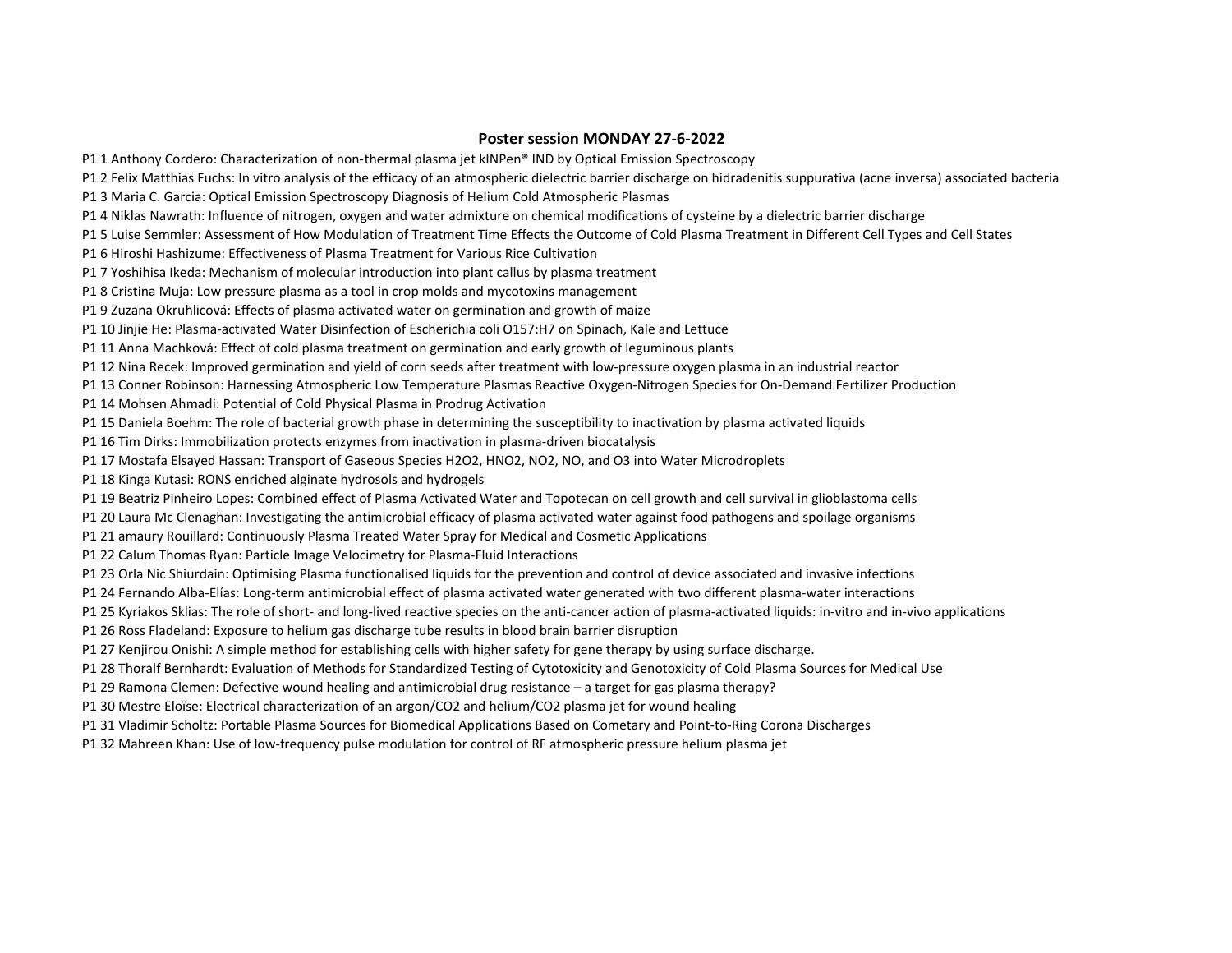## **Poster session MONDAY 27-6-2022**

P1 1 Anthony Cordero: Characterization of non‑thermal plasma jet kINPen® IND by Optical Emission Spectroscopy

P1 2 Felix Matthias Fuchs: In vitro analysis of the efficacy of an atmospheric dielectric barrier discharge on hidradenitis suppurativa (acne inversa) associated bacteria

P1 3 Maria C. Garcia: Optical Emission Spectroscopy Diagnosis of Helium Cold Atmospheric Plasmas

P1 4 Niklas Nawrath: Influence of nitrogen, oxygen and water admixture on chemical modifications of cysteine by a dielectric barrier discharge

P1 5 Luise Semmler: Assessment of How Modulation of Treatment Time Effects the Outcome of Cold Plasma Treatment in Different Cell Types and Cell States

P1 6 Hiroshi Hashizume: Effectiveness of Plasma Treatment for Various Rice Cultivation

P1 7 Yoshihisa Ikeda: Mechanism of molecular introduction into plant callus by plasma treatment

P1 8 Cristina Muja: Low pressure plasma as a tool in crop molds and mycotoxins management

P1 9 Zuzana Okruhlicová: Effects of plasma activated water on germination and growth of maize

P1 10 Jinjie He: Plasma-activated Water Disinfection of Escherichia coli O157:H7 on Spinach, Kale and Lettuce

P1 11 Anna Machková: Effect of cold plasma treatment on germination and early growth of leguminous plants

P1 12 Nina Recek: Improved germination and yield of corn seeds after treatment with low-pressure oxygen plasma in an industrial reactor

P1 13 Conner Robinson: Harnessing Atmospheric Low Temperature Plasmas Reactive Oxygen-Nitrogen Species for On-Demand Fertilizer Production

P1 14 Mohsen Ahmadi: Potential of Cold Physical Plasma in Prodrug Activation

P1 15 Daniela Boehm: The role of bacterial growth phase in determining the susceptibility to inactivation by plasma activated liquids

P1 16 Tim Dirks: Immobilization protects enzymes from inactivation in plasma-driven biocatalysis

P1 17 Mostafa Elsayed Hassan: Transport of Gaseous Species H2O2, HNO2, NO2, NO, and O3 into Water Microdroplets

P1 18 Kinga Kutasi: RONS enriched alginate hydrosols and hydrogels

P1 19 Beatriz Pinheiro Lopes: Combined effect of Plasma Activated Water and Topotecan on cell growth and cell survival in glioblastoma cells

P1 20 Laura Mc Clenaghan: Investigating the antimicrobial efficacy of plasma activated water against food pathogens and spoilage organisms

P1 21 amaury Rouillard: Continuously Plasma Treated Water Spray for Medical and Cosmetic Applications

P1 22 Calum Thomas Ryan: Particle Image Velocimetry for Plasma-Fluid Interactions

P1 23 Orla Nic Shiurdain: Optimising Plasma functionalised liquids for the prevention and control of device associated and invasive infections

P1 24 Fernando Alba-Elías: Long-term antimicrobial effect of plasma activated water generated with two different plasma-water interactions

P1 25 Kyriakos Sklias: The role of short- and long-lived reactive species on the anti-cancer action of plasma-activated liquids: in-vitro and in-vivo applications

P1 26 Ross Fladeland: Exposure to helium gas discharge tube results in blood brain barrier disruption

P1 27 Kenjirou Onishi: A simple method for establishing cells with higher safety for gene therapy by using surface discharge.

P1 28 Thoralf Bernhardt: Evaluation of Methods for Standardized Testing of Cytotoxicity and Genotoxicity of Cold Plasma Sources for Medical Use

P1 29 Ramona Clemen: Defective wound healing and antimicrobial drug resistance – a target for gas plasma therapy?

P1 30 Mestre Eloïse: Electrical characterization of an argon/CO2 and helium/CO2 plasma jet for wound healing

P1 31 Vladimir Scholtz: Portable Plasma Sources for Biomedical Applications Based on Cometary and Point-to-Ring Corona Discharges

P1 32 Mahreen Khan: Use of low-frequency pulse modulation for control of RF atmospheric pressure helium plasma jet